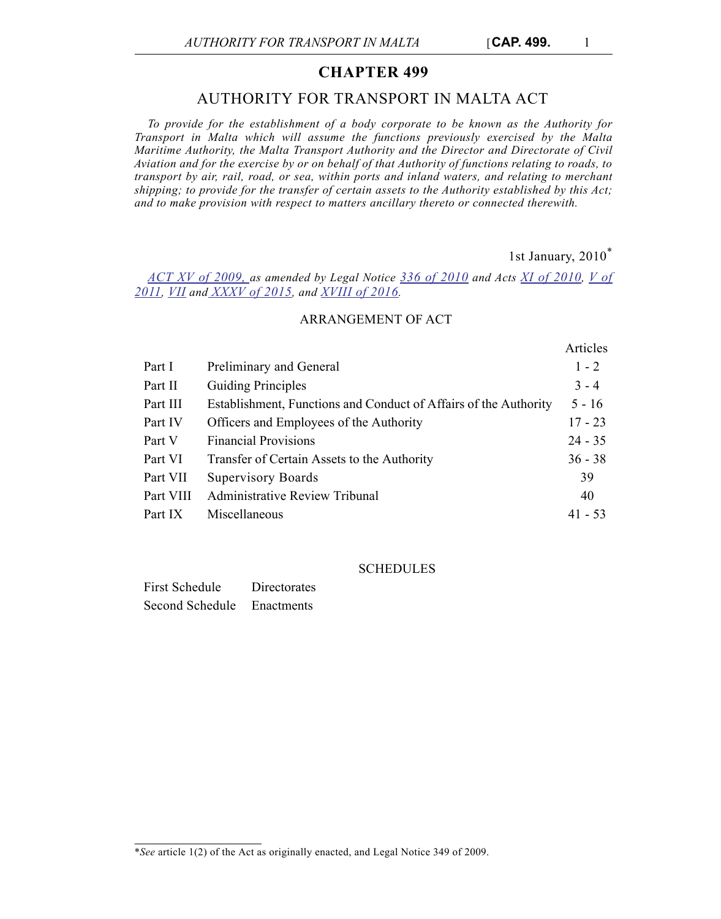# **CHAPTER 499**

# AUTHORITY FOR TRANSPORT IN MALTA ACT

*To provide for the establishment of a body corporate to be known as the Authority for Transport in Malta which will assume the functions previously exercised by the Malta Maritime Authority, the Malta Transport Authority and the Director and Directorate of Civil Aviation and for the exercise by or on behalf of that Authority of functions relating to roads, to transport by air, rail, road, or sea, within ports and inland waters, and relating to merchant shipping; to provide for the transfer of certain assets to the Authority established by this Act; and to make provision with respect to matters ancillary thereto or connected therewith.*

1st January, 2010\*

 $A = 1$ 

*[ACT XV of 2009, a](http://justiceservices.gov.mt/DownloadDocument.aspx?app=lp&itemid=20926&l=1)s amended by Legal Notice [336 of 2010](http://justiceservices.gov.mt/DownloadDocument.aspx?app=lp&itemid=21300&l=1) and Acts [XI of 2010](http://justiceservices.gov.mt/DownloadDocument.aspx?app=lp&itemid=21269&l=1), [V of](http://justiceservices.gov.mt/DownloadDocument.aspx?app=lp&itemid=21980&l=1) [2011](http://justiceservices.gov.mt/DownloadDocument.aspx?app=lp&itemid=21980&l=1), [VII](http://justiceservices.gov.mt/DownloadDocument.aspx?app=lp&itemid=26717&l=1) and [XXXV of 2015,](http://justiceservices.gov.mt/DownloadDocument.aspx?app=lp&itemid=27177&l=1) and [XVIII of 2016](http://justiceservices.gov.mt/DownloadDocument.aspx?app=lp&itemid=27628&l=1).*

# ARRANGEMENT OF ACT

|           |                                                                  | Articles  |
|-----------|------------------------------------------------------------------|-----------|
| Part I    | Preliminary and General                                          | $1 - 2$   |
| Part II   | <b>Guiding Principles</b>                                        | $3 - 4$   |
| Part III  | Establishment, Functions and Conduct of Affairs of the Authority | $5 - 16$  |
| Part IV   | Officers and Employees of the Authority                          | $17 - 23$ |
| Part V    | <b>Financial Provisions</b>                                      | $24 - 35$ |
| Part VI   | Transfer of Certain Assets to the Authority                      | $36 - 38$ |
| Part VII  | <b>Supervisory Boards</b>                                        | 39        |
| Part VIII | <b>Administrative Review Tribunal</b>                            | 40        |
| Part IX   | Miscellaneous                                                    | $41 - 53$ |

**SCHEDULES** 

| First Schedule  | <b>Directorates</b> |
|-----------------|---------------------|
| Second Schedule | Enactments          |

<sup>\*</sup>*See* article 1(2) of the Act as originally enacted, and Legal Notice 349 of 2009.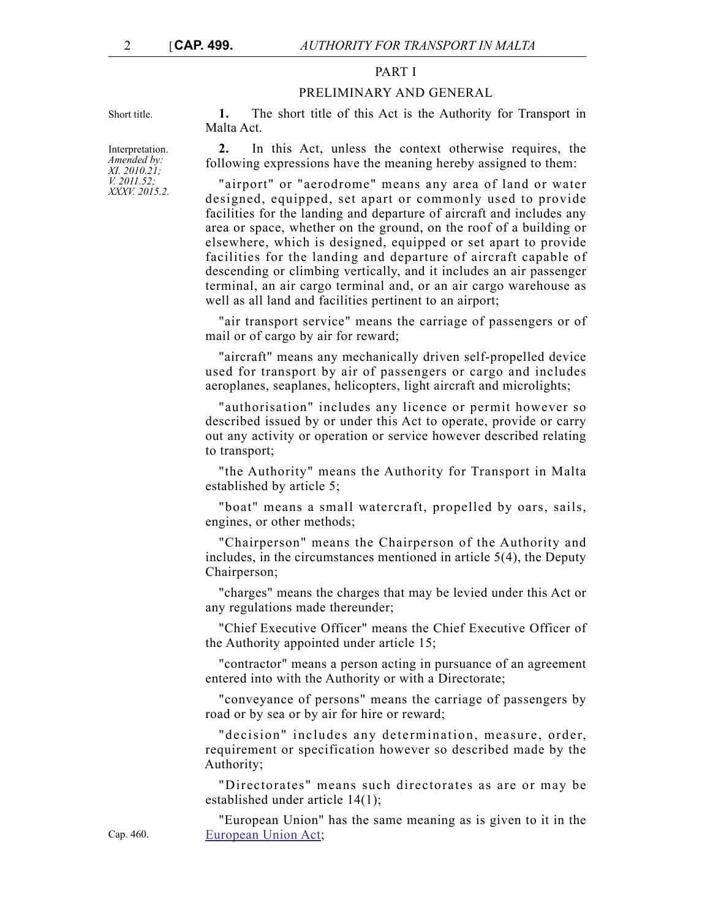## PART I

#### PRELIMINARY AND GENERAL

Short title. **1.** The short title of this Act is the Authority for Transport in Malta Act.

> **2.** In this Act, unless the context otherwise requires, the following expressions have the meaning hereby assigned to them:

> "airport" or "aerodrome" means any area of land or water designed, equipped, set apart or commonly used to provide facilities for the landing and departure of aircraft and includes any area or space, whether on the ground, on the roof of a building or elsewhere, which is designed, equipped or set apart to provide facilities for the landing and departure of aircraft capable of descending or climbing vertically, and it includes an air passenger terminal, an air cargo terminal and, or an air cargo warehouse as well as all land and facilities pertinent to an airport;

> "air transport service" means the carriage of passengers or of mail or of cargo by air for reward;

> "aircraft" means any mechanically driven self-propelled device used for transport by air of passengers or cargo and includes aeroplanes, seaplanes, helicopters, light aircraft and microlights;

> "authorisation" includes any licence or permit however so described issued by or under this Act to operate, provide or carry out any activity or operation or service however described relating to transport;

> "the Authority" means the Authority for Transport in Malta established by article 5;

> "boat" means a small watercraft, propelled by oars, sails, engines, or other methods;

> "Chairperson" means the Chairperson of the Authority and includes, in the circumstances mentioned in article 5(4), the Deputy Chairperson;

> "charges" means the charges that may be levied under this Act or any regulations made thereunder;

> "Chief Executive Officer" means the Chief Executive Officer of the Authority appointed under article 15;

> "contractor" means a person acting in pursuance of an agreement entered into with the Authority or with a Directorate;

> "conveyance of persons" means the carriage of passengers by road or by sea or by air for hire or reward;

> "decision" includes any determination, measure, order, requirement or specification however so described made by the Authority;

> "Directorates" means such directorates as are or may be established under article 14(1);

> "European Union" has the same meaning as is given to it in the [European Union Act;](http://www.justiceservices.gov.mt/DownloadDocument.aspx?app=lom&itemid=8926&l=1)

Interpretation. *Amended by: XI. 2010.21; V. 2011.52; XXXV. 2015.2.*

Cap. 460.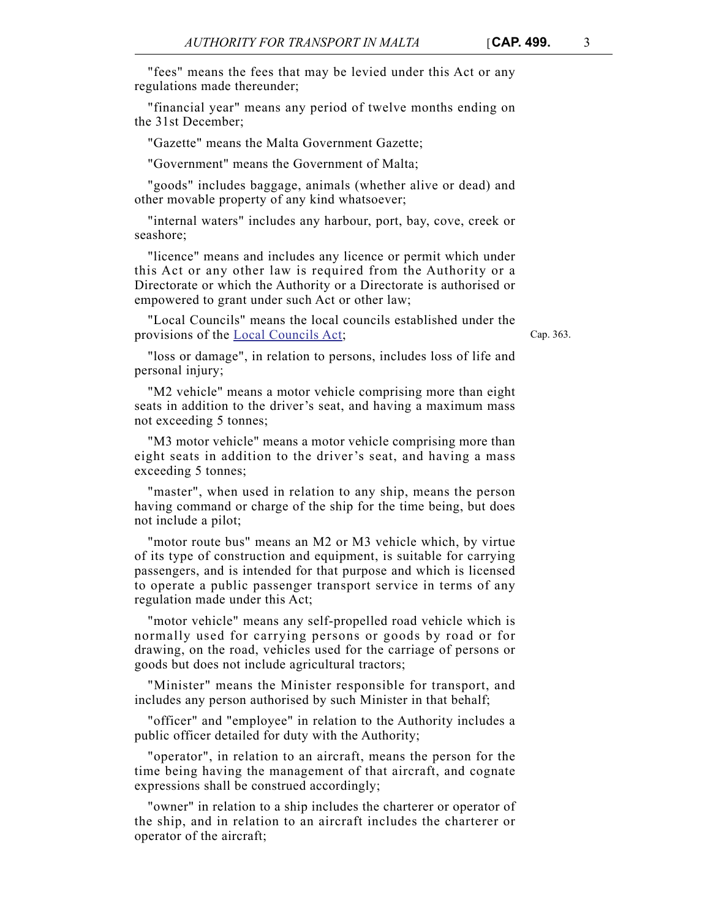"financial year" means any period of twelve months ending on the 31st December;

"Gazette" means the Malta Government Gazette;

"Government" means the Government of Malta;

"goods" includes baggage, animals (whether alive or dead) and other movable property of any kind whatsoever;

"internal waters" includes any harbour, port, bay, cove, creek or seashore;

"licence" means and includes any licence or permit which under this Act or any other law is required from the Authority or a Directorate or which the Authority or a Directorate is authorised or empowered to grant under such Act or other law;

"Local Councils" means the local councils established under the provisions of the [Local Councils Act;](http://www.justiceservices.gov.mt/DownloadDocument.aspx?app=lom&itemid=8833&l=1)

Cap. 363.

"loss or damage", in relation to persons, includes loss of life and personal injury;

"M2 vehicle" means a motor vehicle comprising more than eight seats in addition to the driver's seat, and having a maximum mass not exceeding 5 tonnes;

"M3 motor vehicle" means a motor vehicle comprising more than eight seats in addition to the driver's seat, and having a mass exceeding 5 tonnes;

"master", when used in relation to any ship, means the person having command or charge of the ship for the time being, but does not include a pilot;

"motor route bus" means an M2 or M3 vehicle which, by virtue of its type of construction and equipment, is suitable for carrying passengers, and is intended for that purpose and which is licensed to operate a public passenger transport service in terms of any regulation made under this Act;

"motor vehicle" means any self-propelled road vehicle which is normally used for carrying persons or goods by road or for drawing, on the road, vehicles used for the carriage of persons or goods but does not include agricultural tractors;

"Minister" means the Minister responsible for transport, and includes any person authorised by such Minister in that behalf;

"officer" and "employee" in relation to the Authority includes a public officer detailed for duty with the Authority;

"operator", in relation to an aircraft, means the person for the time being having the management of that aircraft, and cognate expressions shall be construed accordingly;

"owner" in relation to a ship includes the charterer or operator of the ship, and in relation to an aircraft includes the charterer or operator of the aircraft;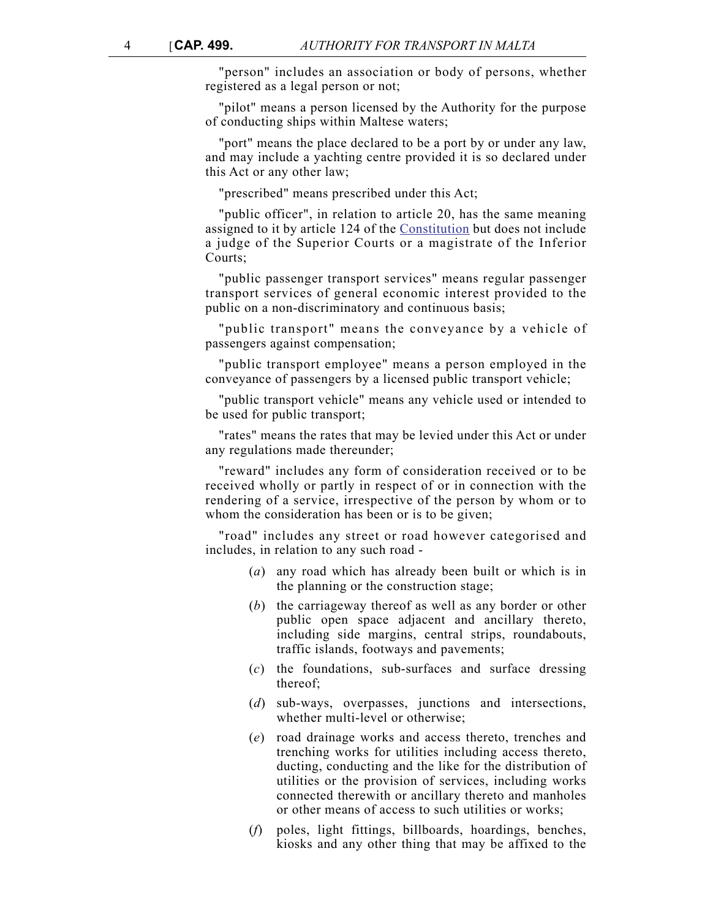"person" includes an association or body of persons, whether registered as a legal person or not;

"pilot" means a person licensed by the Authority for the purpose of conducting ships within Maltese waters;

"port" means the place declared to be a port by or under any law, and may include a yachting centre provided it is so declared under this Act or any other law;

"prescribed" means prescribed under this Act;

"public officer", in relation to article 20, has the same meaning assigned to it by article 124 of the [Constitution](http://www.justiceservices.gov.mt/DownloadDocument.aspx?app=lom&itemid=8566&l=1) but does not include a judge of the Superior Courts or a magistrate of the Inferior Courts;

"public passenger transport services" means regular passenger transport services of general economic interest provided to the public on a non-discriminatory and continuous basis;

"public transport" means the conveyance by a vehicle of passengers against compensation;

"public transport employee" means a person employed in the conveyance of passengers by a licensed public transport vehicle;

"public transport vehicle" means any vehicle used or intended to be used for public transport;

"rates" means the rates that may be levied under this Act or under any regulations made thereunder;

"reward" includes any form of consideration received or to be received wholly or partly in respect of or in connection with the rendering of a service, irrespective of the person by whom or to whom the consideration has been or is to be given;

"road" includes any street or road however categorised and includes, in relation to any such road -

- (*a*) any road which has already been built or which is in the planning or the construction stage;
- (*b*) the carriageway thereof as well as any border or other public open space adjacent and ancillary thereto, including side margins, central strips, roundabouts, traffic islands, footways and pavements;
- (*c*) the foundations, sub-surfaces and surface dressing thereof;
- (*d*) sub-ways, overpasses, junctions and intersections, whether multi-level or otherwise;
- (*e*) road drainage works and access thereto, trenches and trenching works for utilities including access thereto, ducting, conducting and the like for the distribution of utilities or the provision of services, including works connected therewith or ancillary thereto and manholes or other means of access to such utilities or works;
- (*f*) poles, light fittings, billboards, hoardings, benches, kiosks and any other thing that may be affixed to the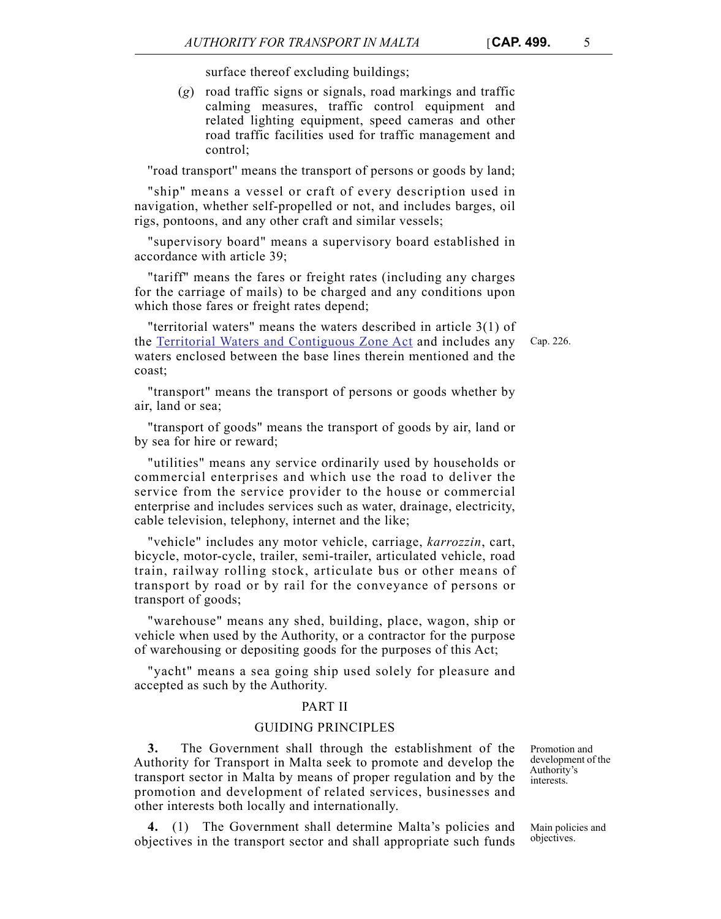surface thereof excluding buildings;

(*g*) road traffic signs or signals, road markings and traffic calming measures, traffic control equipment and related lighting equipment, speed cameras and other road traffic facilities used for traffic management and control;

''road transport'' means the transport of persons or goods by land;

"ship" means a vessel or craft of every description used in navigation, whether self-propelled or not, and includes barges, oil rigs, pontoons, and any other craft and similar vessels;

"supervisory board" means a supervisory board established in accordance with article 39;

"tariff" means the fares or freight rates (including any charges for the carriage of mails) to be charged and any conditions upon which those fares or freight rates depend;

"territorial waters" means the waters described in article 3(1) of the [Territorial Waters and Contiguous Zone Act](http://www.justiceservices.gov.mt/DownloadDocument.aspx?app=lom&itemid=8728&l=1) and includes any waters enclosed between the base lines therein mentioned and the coast;

"transport" means the transport of persons or goods whether by air, land or sea;

"transport of goods" means the transport of goods by air, land or by sea for hire or reward;

"utilities" means any service ordinarily used by households or commercial enterprises and which use the road to deliver the service from the service provider to the house or commercial enterprise and includes services such as water, drainage, electricity, cable television, telephony, internet and the like;

"vehicle" includes any motor vehicle, carriage, *karrozzin*, cart, bicycle, motor-cycle, trailer, semi-trailer, articulated vehicle, road train, railway rolling stock, articulate bus or other means of transport by road or by rail for the conveyance of persons or transport of goods;

"warehouse" means any shed, building, place, wagon, ship or vehicle when used by the Authority, or a contractor for the purpose of warehousing or depositing goods for the purposes of this Act;

"yacht" means a sea going ship used solely for pleasure and accepted as such by the Authority.

#### PART II

#### GUIDING PRINCIPLES

**3.** The Government shall through the establishment of the Authority for Transport in Malta seek to promote and develop the transport sector in Malta by means of proper regulation and by the promotion and development of related services, businesses and other interests both locally and internationally.

**4.** (1) The Government shall determine Malta's policies and objectives in the transport sector and shall appropriate such funds

Promotion and development of the Authority's interests.

Main policies and objectives.

Cap. 226.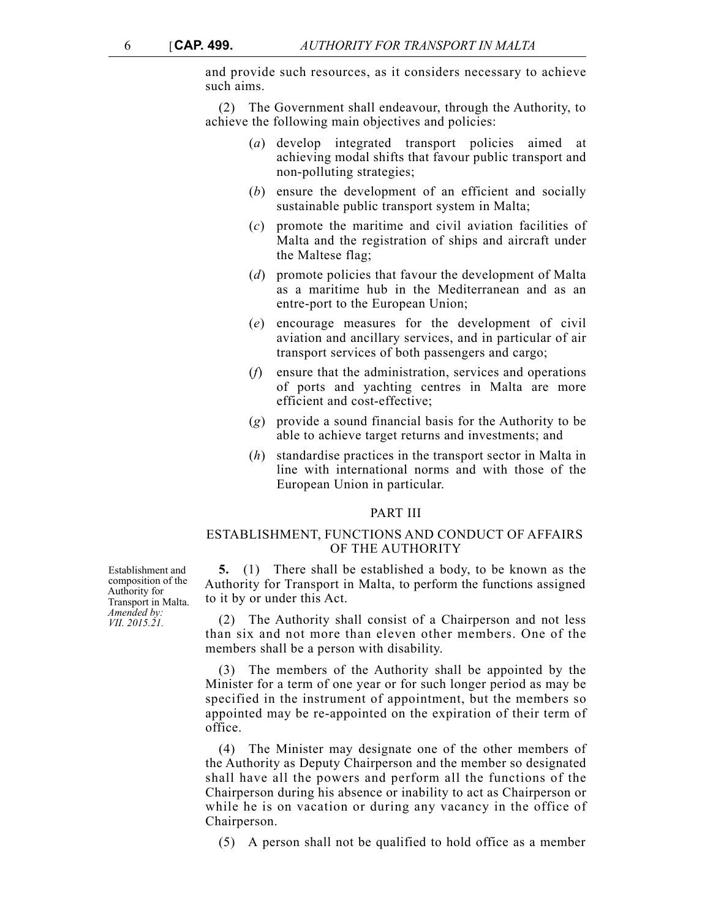and provide such resources, as it considers necessary to achieve such aims.

(2) The Government shall endeavour, through the Authority, to achieve the following main objectives and policies:

- (*a*) develop integrated transport policies aimed at achieving modal shifts that favour public transport and non-polluting strategies;
- (*b*) ensure the development of an efficient and socially sustainable public transport system in Malta;
- (*c*) promote the maritime and civil aviation facilities of Malta and the registration of ships and aircraft under the Maltese flag;
- (*d*) promote policies that favour the development of Malta as a maritime hub in the Mediterranean and as an entre-port to the European Union;
- (*e*) encourage measures for the development of civil aviation and ancillary services, and in particular of air transport services of both passengers and cargo;
- (*f*) ensure that the administration, services and operations of ports and yachting centres in Malta are more efficient and cost-effective;
- (*g*) provide a sound financial basis for the Authority to be able to achieve target returns and investments; and
- (*h*) standardise practices in the transport sector in Malta in line with international norms and with those of the European Union in particular.

#### PART III

## ESTABLISHMENT, FUNCTIONS AND CONDUCT OF AFFAIRS OF THE AUTHORITY

**5.** (1) There shall be established a body, to be known as the Authority for Transport in Malta, to perform the functions assigned to it by or under this Act.

(2) The Authority shall consist of a Chairperson and not less than six and not more than eleven other members. One of the members shall be a person with disability.

(3) The members of the Authority shall be appointed by the Minister for a term of one year or for such longer period as may be specified in the instrument of appointment, but the members so appointed may be re-appointed on the expiration of their term of office.

(4) The Minister may designate one of the other members of the Authority as Deputy Chairperson and the member so designated shall have all the powers and perform all the functions of the Chairperson during his absence or inability to act as Chairperson or while he is on vacation or during any vacancy in the office of Chairperson.

(5) A person shall not be qualified to hold office as a member

Establishment and composition of the Authority for Transport in Malta. *Amended by: VII. 2015.21.*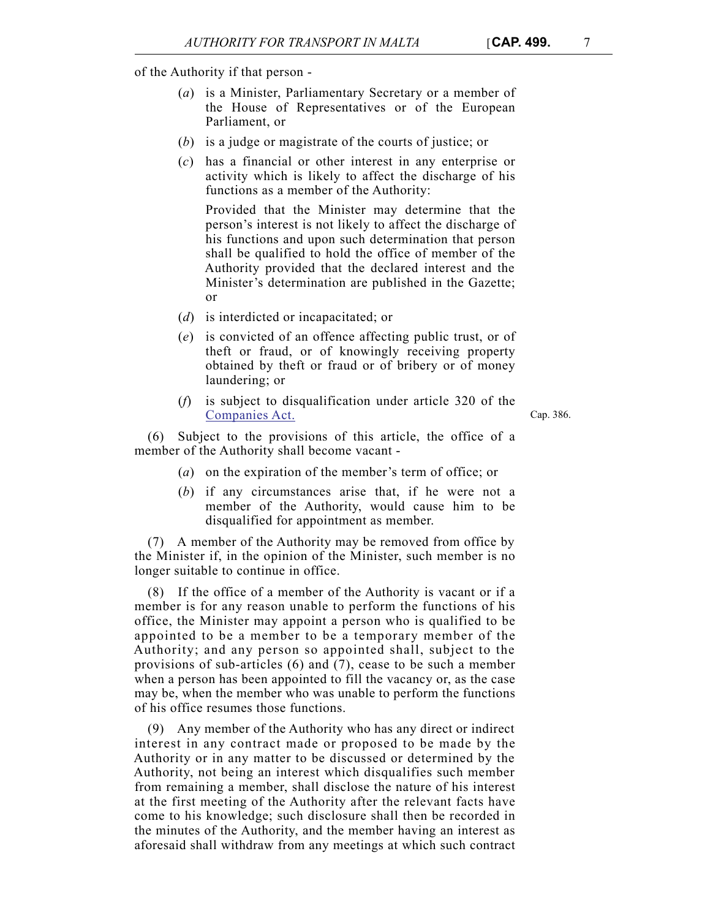of the Authority if that person -

- (*a*) is a Minister, Parliamentary Secretary or a member of the House of Representatives or of the European Parliament, or
- (*b*) is a judge or magistrate of the courts of justice; or
- (*c*) has a financial or other interest in any enterprise or activity which is likely to affect the discharge of his functions as a member of the Authority:

Provided that the Minister may determine that the person's interest is not likely to affect the discharge of his functions and upon such determination that person shall be qualified to hold the office of member of the Authority provided that the declared interest and the Minister's determination are published in the Gazette; or

- (*d*) is interdicted or incapacitated; or
- (*e*) is convicted of an offence affecting public trust, or of theft or fraud, or of knowingly receiving property obtained by theft or fraud or of bribery or of money laundering; or
- (*f*) is subject to disqualification under article 320 of the [Companies Act.](http://www.justiceservices.gov.mt/DownloadDocument.aspx?app=lom&itemid=8853&l=1)

Cap. 386.

Subject to the provisions of this article, the office of a member of the Authority shall become vacant -

- (*a*) on the expiration of the member's term of office; or
- (*b*) if any circumstances arise that, if he were not a member of the Authority, would cause him to be disqualified for appointment as member.

(7) A member of the Authority may be removed from office by the Minister if, in the opinion of the Minister, such member is no longer suitable to continue in office.

(8) If the office of a member of the Authority is vacant or if a member is for any reason unable to perform the functions of his office, the Minister may appoint a person who is qualified to be appointed to be a member to be a temporary member of the Authority; and any person so appointed shall, subject to the provisions of sub-articles (6) and (7), cease to be such a member when a person has been appointed to fill the vacancy or, as the case may be, when the member who was unable to perform the functions of his office resumes those functions.

(9) Any member of the Authority who has any direct or indirect interest in any contract made or proposed to be made by the Authority or in any matter to be discussed or determined by the Authority, not being an interest which disqualifies such member from remaining a member, shall disclose the nature of his interest at the first meeting of the Authority after the relevant facts have come to his knowledge; such disclosure shall then be recorded in the minutes of the Authority, and the member having an interest as aforesaid shall withdraw from any meetings at which such contract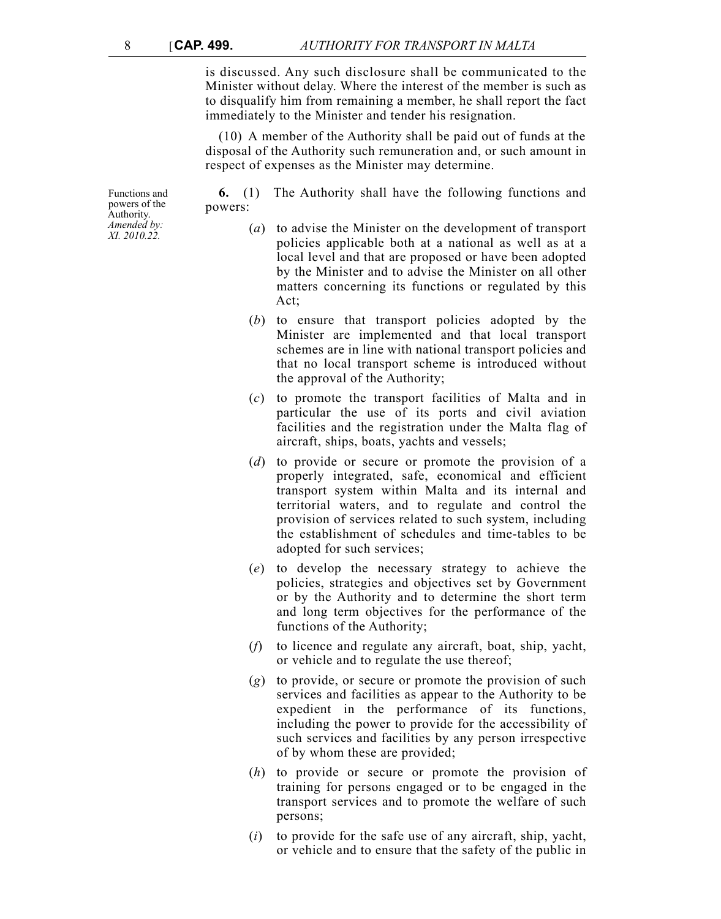is discussed. Any such disclosure shall be communicated to the Minister without delay. Where the interest of the member is such as to disqualify him from remaining a member, he shall report the fact immediately to the Minister and tender his resignation.

(10) A member of the Authority shall be paid out of funds at the disposal of the Authority such remuneration and, or such amount in respect of expenses as the Minister may determine.

**6.** (1) The Authority shall have the following functions and powers:

- (*a*) to advise the Minister on the development of transport policies applicable both at a national as well as at a local level and that are proposed or have been adopted by the Minister and to advise the Minister on all other matters concerning its functions or regulated by this Act;
- (*b*) to ensure that transport policies adopted by the Minister are implemented and that local transport schemes are in line with national transport policies and that no local transport scheme is introduced without the approval of the Authority;
- (*c*) to promote the transport facilities of Malta and in particular the use of its ports and civil aviation facilities and the registration under the Malta flag of aircraft, ships, boats, yachts and vessels;
- (*d*) to provide or secure or promote the provision of a properly integrated, safe, economical and efficient transport system within Malta and its internal and territorial waters, and to regulate and control the provision of services related to such system, including the establishment of schedules and time-tables to be adopted for such services;
- (*e*) to develop the necessary strategy to achieve the policies, strategies and objectives set by Government or by the Authority and to determine the short term and long term objectives for the performance of the functions of the Authority;
- (*f*) to licence and regulate any aircraft, boat, ship, yacht, or vehicle and to regulate the use thereof;
- (*g*) to provide, or secure or promote the provision of such services and facilities as appear to the Authority to be expedient in the performance of its functions, including the power to provide for the accessibility of such services and facilities by any person irrespective of by whom these are provided;
- (*h*) to provide or secure or promote the provision of training for persons engaged or to be engaged in the transport services and to promote the welfare of such persons;
- (*i*) to provide for the safe use of any aircraft, ship, yacht, or vehicle and to ensure that the safety of the public in

Functions and powers of the Authority. *Amended by: XI. 2010.22.*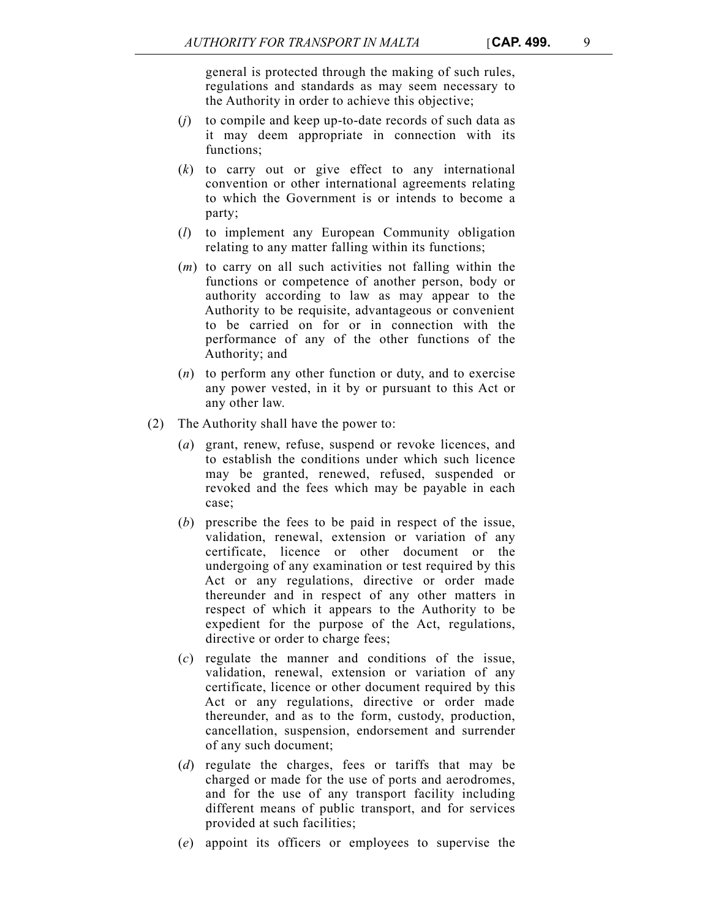general is protected through the making of such rules, regulations and standards as may seem necessary to the Authority in order to achieve this objective;

- (*j*) to compile and keep up-to-date records of such data as it may deem appropriate in connection with its functions;
- (*k*) to carry out or give effect to any international convention or other international agreements relating to which the Government is or intends to become a party;
- (*l*) to implement any European Community obligation relating to any matter falling within its functions;
- (*m*) to carry on all such activities not falling within the functions or competence of another person, body or authority according to law as may appear to the Authority to be requisite, advantageous or convenient to be carried on for or in connection with the performance of any of the other functions of the Authority; and
- (*n*) to perform any other function or duty, and to exercise any power vested, in it by or pursuant to this Act or any other law.
- (2) The Authority shall have the power to:
	- (*a*) grant, renew, refuse, suspend or revoke licences, and to establish the conditions under which such licence may be granted, renewed, refused, suspended or revoked and the fees which may be payable in each case;
	- (*b*) prescribe the fees to be paid in respect of the issue, validation, renewal, extension or variation of any certificate, licence or other document or the undergoing of any examination or test required by this Act or any regulations, directive or order made thereunder and in respect of any other matters in respect of which it appears to the Authority to be expedient for the purpose of the Act, regulations, directive or order to charge fees;
	- (*c*) regulate the manner and conditions of the issue, validation, renewal, extension or variation of any certificate, licence or other document required by this Act or any regulations, directive or order made thereunder, and as to the form, custody, production, cancellation, suspension, endorsement and surrender of any such document;
	- (*d*) regulate the charges, fees or tariffs that may be charged or made for the use of ports and aerodromes, and for the use of any transport facility including different means of public transport, and for services provided at such facilities;
	- (*e*) appoint its officers or employees to supervise the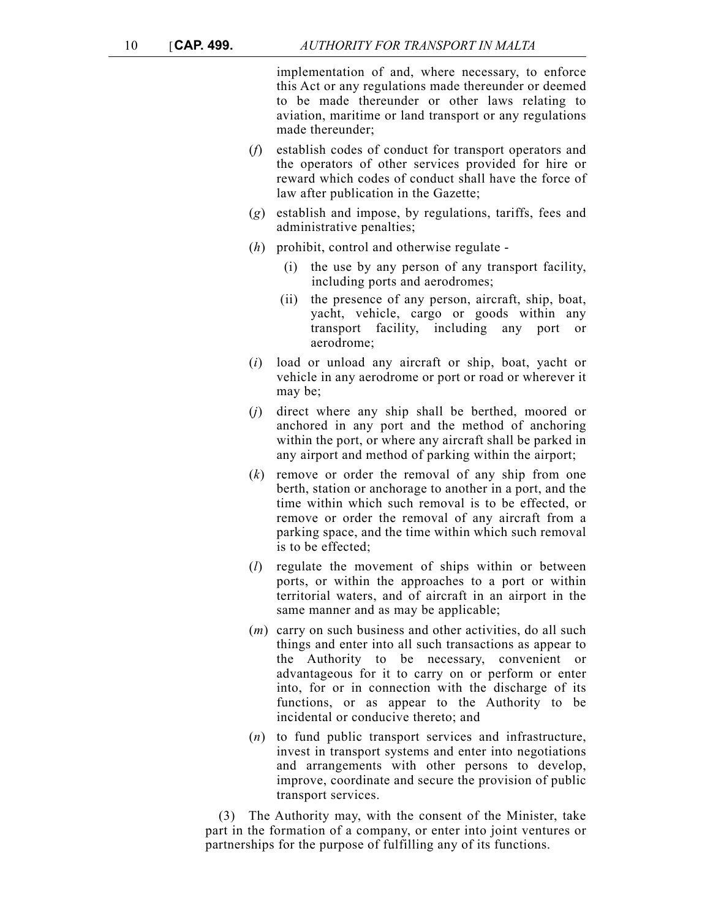implementation of and, where necessary, to enforce this Act or any regulations made thereunder or deemed to be made thereunder or other laws relating to aviation, maritime or land transport or any regulations made thereunder;

- (*f*) establish codes of conduct for transport operators and the operators of other services provided for hire or reward which codes of conduct shall have the force of law after publication in the Gazette;
- (*g*) establish and impose, by regulations, tariffs, fees and administrative penalties;
- (*h*) prohibit, control and otherwise regulate
	- (i) the use by any person of any transport facility, including ports and aerodromes;
	- (ii) the presence of any person, aircraft, ship, boat, yacht, vehicle, cargo or goods within any transport facility, including any port or aerodrome;
- (*i*) load or unload any aircraft or ship, boat, yacht or vehicle in any aerodrome or port or road or wherever it may be;
- (*j*) direct where any ship shall be berthed, moored or anchored in any port and the method of anchoring within the port, or where any aircraft shall be parked in any airport and method of parking within the airport;
- (*k*) remove or order the removal of any ship from one berth, station or anchorage to another in a port, and the time within which such removal is to be effected, or remove or order the removal of any aircraft from a parking space, and the time within which such removal is to be effected;
- (*l*) regulate the movement of ships within or between ports, or within the approaches to a port or within territorial waters, and of aircraft in an airport in the same manner and as may be applicable;
- (*m*) carry on such business and other activities, do all such things and enter into all such transactions as appear to the Authority to be necessary, convenient or advantageous for it to carry on or perform or enter into, for or in connection with the discharge of its functions, or as appear to the Authority to be incidental or conducive thereto; and
- (*n*) to fund public transport services and infrastructure, invest in transport systems and enter into negotiations and arrangements with other persons to develop, improve, coordinate and secure the provision of public transport services.

(3) The Authority may, with the consent of the Minister, take part in the formation of a company, or enter into joint ventures or partnerships for the purpose of fulfilling any of its functions.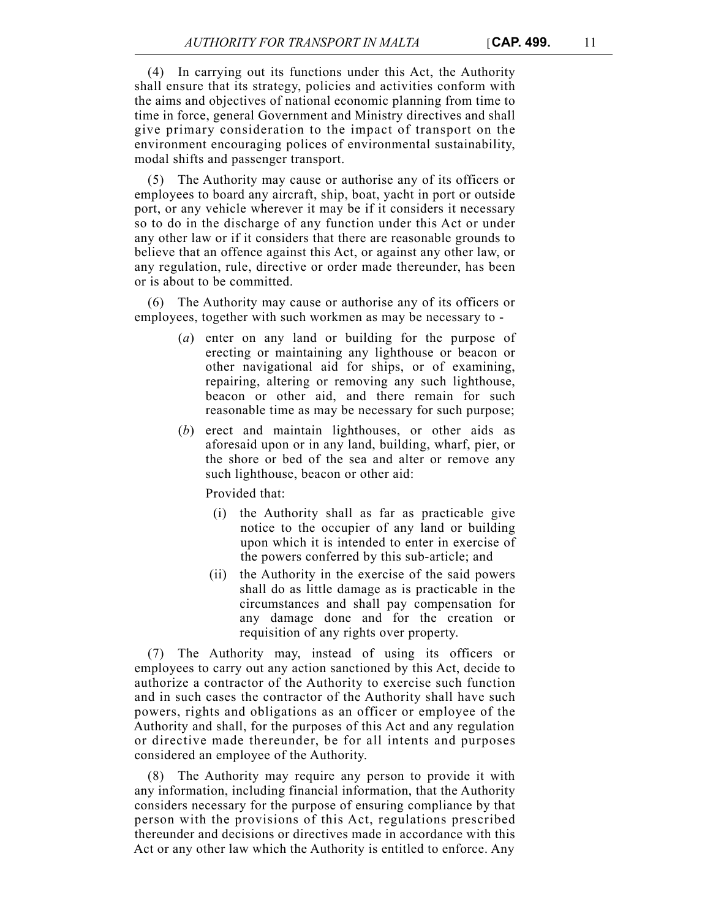(4) In carrying out its functions under this Act, the Authority shall ensure that its strategy, policies and activities conform with the aims and objectives of national economic planning from time to time in force, general Government and Ministry directives and shall give primary consideration to the impact of transport on the environment encouraging polices of environmental sustainability, modal shifts and passenger transport.

(5) The Authority may cause or authorise any of its officers or employees to board any aircraft, ship, boat, yacht in port or outside port, or any vehicle wherever it may be if it considers it necessary so to do in the discharge of any function under this Act or under any other law or if it considers that there are reasonable grounds to believe that an offence against this Act, or against any other law, or any regulation, rule, directive or order made thereunder, has been or is about to be committed.

(6) The Authority may cause or authorise any of its officers or employees, together with such workmen as may be necessary to -

- (*a*) enter on any land or building for the purpose of erecting or maintaining any lighthouse or beacon or other navigational aid for ships, or of examining, repairing, altering or removing any such lighthouse, beacon or other aid, and there remain for such reasonable time as may be necessary for such purpose;
- (*b*) erect and maintain lighthouses, or other aids as aforesaid upon or in any land, building, wharf, pier, or the shore or bed of the sea and alter or remove any such lighthouse, beacon or other aid:

Provided that:

- (i) the Authority shall as far as practicable give notice to the occupier of any land or building upon which it is intended to enter in exercise of the powers conferred by this sub-article; and
- (ii) the Authority in the exercise of the said powers shall do as little damage as is practicable in the circumstances and shall pay compensation for any damage done and for the creation or requisition of any rights over property.

(7) The Authority may, instead of using its officers or employees to carry out any action sanctioned by this Act, decide to authorize a contractor of the Authority to exercise such function and in such cases the contractor of the Authority shall have such powers, rights and obligations as an officer or employee of the Authority and shall, for the purposes of this Act and any regulation or directive made thereunder, be for all intents and purposes considered an employee of the Authority.

(8) The Authority may require any person to provide it with any information, including financial information, that the Authority considers necessary for the purpose of ensuring compliance by that person with the provisions of this Act, regulations prescribed thereunder and decisions or directives made in accordance with this Act or any other law which the Authority is entitled to enforce. Any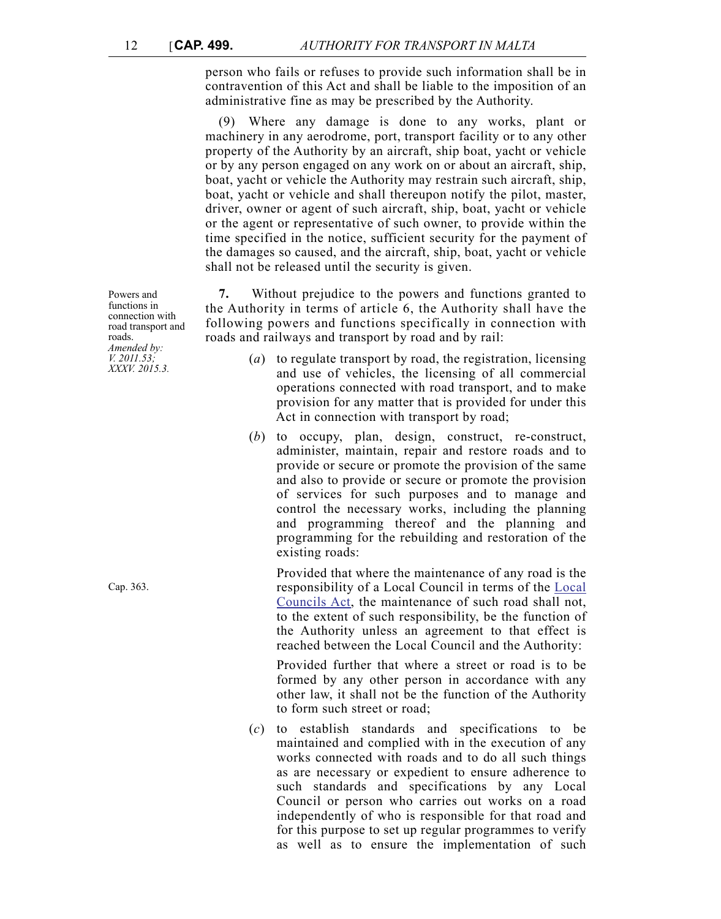person who fails or refuses to provide such information shall be in contravention of this Act and shall be liable to the imposition of an administrative fine as may be prescribed by the Authority.

(9) Where any damage is done to any works, plant or machinery in any aerodrome, port, transport facility or to any other property of the Authority by an aircraft, ship boat, yacht or vehicle or by any person engaged on any work on or about an aircraft, ship, boat, yacht or vehicle the Authority may restrain such aircraft, ship, boat, yacht or vehicle and shall thereupon notify the pilot, master, driver, owner or agent of such aircraft, ship, boat, yacht or vehicle or the agent or representative of such owner, to provide within the time specified in the notice, sufficient security for the payment of the damages so caused, and the aircraft, ship, boat, yacht or vehicle shall not be released until the security is given.

**7.** Without prejudice to the powers and functions granted to the Authority in terms of article 6, the Authority shall have the following powers and functions specifically in connection with roads and railways and transport by road and by rail:

- (*a*) to regulate transport by road, the registration, licensing and use of vehicles, the licensing of all commercial operations connected with road transport, and to make provision for any matter that is provided for under this Act in connection with transport by road;
- (*b*) to occupy, plan, design, construct, re-construct, administer, maintain, repair and restore roads and to provide or secure or promote the provision of the same and also to provide or secure or promote the provision of services for such purposes and to manage and control the necessary works, including the planning and programming thereof and the planning and programming for the rebuilding and restoration of the existing roads:

Provided that where the maintenance of any road is the responsibility of a Local Council in terms of the [Local](http://www.justiceservices.gov.mt/DownloadDocument.aspx?app=lom&itemid=8833&l=1) [Councils Act](http://www.justiceservices.gov.mt/DownloadDocument.aspx?app=lom&itemid=8833&l=1), the maintenance of such road shall not, to the extent of such responsibility, be the function of the Authority unless an agreement to that effect is reached between the Local Council and the Authority:

Provided further that where a street or road is to be formed by any other person in accordance with any other law, it shall not be the function of the Authority to form such street or road;

(*c*) to establish standards and specifications to be maintained and complied with in the execution of any works connected with roads and to do all such things as are necessary or expedient to ensure adherence to such standards and specifications by any Local Council or person who carries out works on a road independently of who is responsible for that road and for this purpose to set up regular programmes to verify as well as to ensure the implementation of such

Powers and functions in connection with road transport and roads. *Amended by: V. 2011.53; XXXV. 2015.3.*

Cap. 363.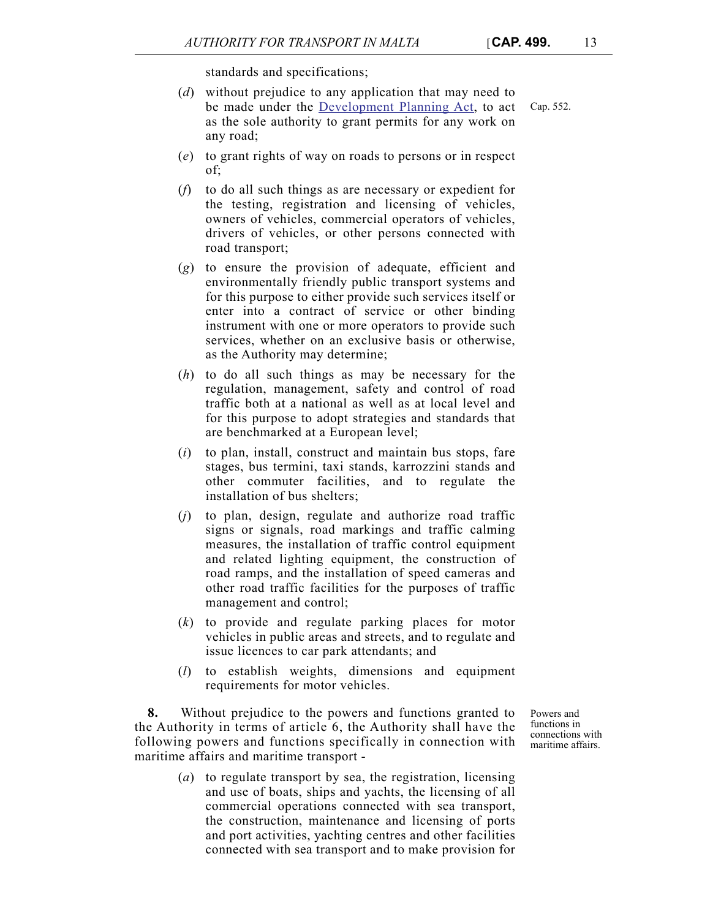standards and specifications;

- (*d*) without prejudice to any application that may need to be made under the [Development Planning Act,](http://www.justiceservices.gov.mt/DownloadDocument.aspx?app=lom&itemid=8826&l=1) to act as the sole authority to grant permits for any work on any road;
- (*e*) to grant rights of way on roads to persons or in respect of;
- (*f*) to do all such things as are necessary or expedient for the testing, registration and licensing of vehicles, owners of vehicles, commercial operators of vehicles, drivers of vehicles, or other persons connected with road transport;
- (*g*) to ensure the provision of adequate, efficient and environmentally friendly public transport systems and for this purpose to either provide such services itself or enter into a contract of service or other binding instrument with one or more operators to provide such services, whether on an exclusive basis or otherwise, as the Authority may determine;
- (*h*) to do all such things as may be necessary for the regulation, management, safety and control of road traffic both at a national as well as at local level and for this purpose to adopt strategies and standards that are benchmarked at a European level;
- (*i*) to plan, install, construct and maintain bus stops, fare stages, bus termini, taxi stands, karrozzini stands and other commuter facilities, and to regulate the installation of bus shelters;
- (*j*) to plan, design, regulate and authorize road traffic signs or signals, road markings and traffic calming measures, the installation of traffic control equipment and related lighting equipment, the construction of road ramps, and the installation of speed cameras and other road traffic facilities for the purposes of traffic management and control;
- (*k*) to provide and regulate parking places for motor vehicles in public areas and streets, and to regulate and issue licences to car park attendants; and
- (*l*) to establish weights, dimensions and equipment requirements for motor vehicles.

**8.** Without prejudice to the powers and functions granted to the Authority in terms of article 6, the Authority shall have the following powers and functions specifically in connection with maritime affairs and maritime transport -

> (*a*) to regulate transport by sea, the registration, licensing and use of boats, ships and yachts, the licensing of all commercial operations connected with sea transport, the construction, maintenance and licensing of ports and port activities, yachting centres and other facilities connected with sea transport and to make provision for

Powers and functions in connections with maritime affairs.

Cap. 552.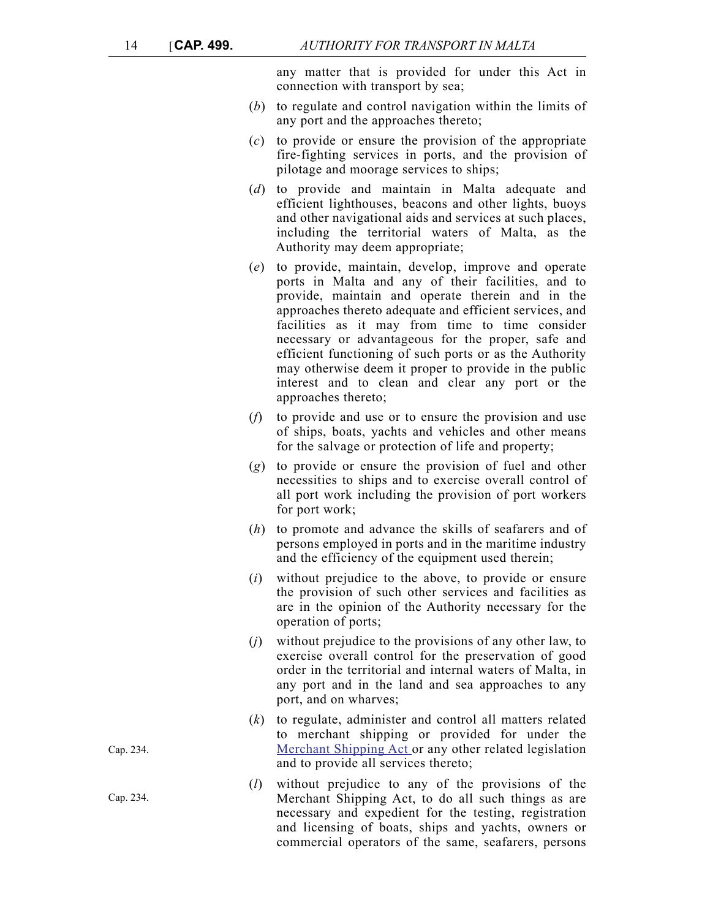any matter that is provided for under this Act in connection with transport by sea;

- (*b*) to regulate and control navigation within the limits of any port and the approaches thereto;
- (*c*) to provide or ensure the provision of the appropriate fire-fighting services in ports, and the provision of pilotage and moorage services to ships;
- (*d*) to provide and maintain in Malta adequate and efficient lighthouses, beacons and other lights, buoys and other navigational aids and services at such places, including the territorial waters of Malta, as the Authority may deem appropriate;
- (*e*) to provide, maintain, develop, improve and operate ports in Malta and any of their facilities, and to provide, maintain and operate therein and in the approaches thereto adequate and efficient services, and facilities as it may from time to time consider necessary or advantageous for the proper, safe and efficient functioning of such ports or as the Authority may otherwise deem it proper to provide in the public interest and to clean and clear any port or the approaches thereto;
- (*f*) to provide and use or to ensure the provision and use of ships, boats, yachts and vehicles and other means for the salvage or protection of life and property;
- (*g*) to provide or ensure the provision of fuel and other necessities to ships and to exercise overall control of all port work including the provision of port workers for port work;
- (*h*) to promote and advance the skills of seafarers and of persons employed in ports and in the maritime industry and the efficiency of the equipment used therein;
- (*i*) without prejudice to the above, to provide or ensure the provision of such other services and facilities as are in the opinion of the Authority necessary for the operation of ports;
- (*j*) without prejudice to the provisions of any other law, to exercise overall control for the preservation of good order in the territorial and internal waters of Malta, in any port and in the land and sea approaches to any port, and on wharves;
- (*k*) to regulate, administer and control all matters related to merchant shipping or provided for under the [Merchant Shipping Act o](http://www.justiceservices.gov.mt/DownloadDocument.aspx?app=lom&itemid=8734&l=1)r any other related legislation and to provide all services thereto;
- (*l*) without prejudice to any of the provisions of the Merchant Shipping Act, to do all such things as are necessary and expedient for the testing, registration and licensing of boats, ships and yachts, owners or commercial operators of the same, seafarers, persons

Cap. 234.

Cap. 234.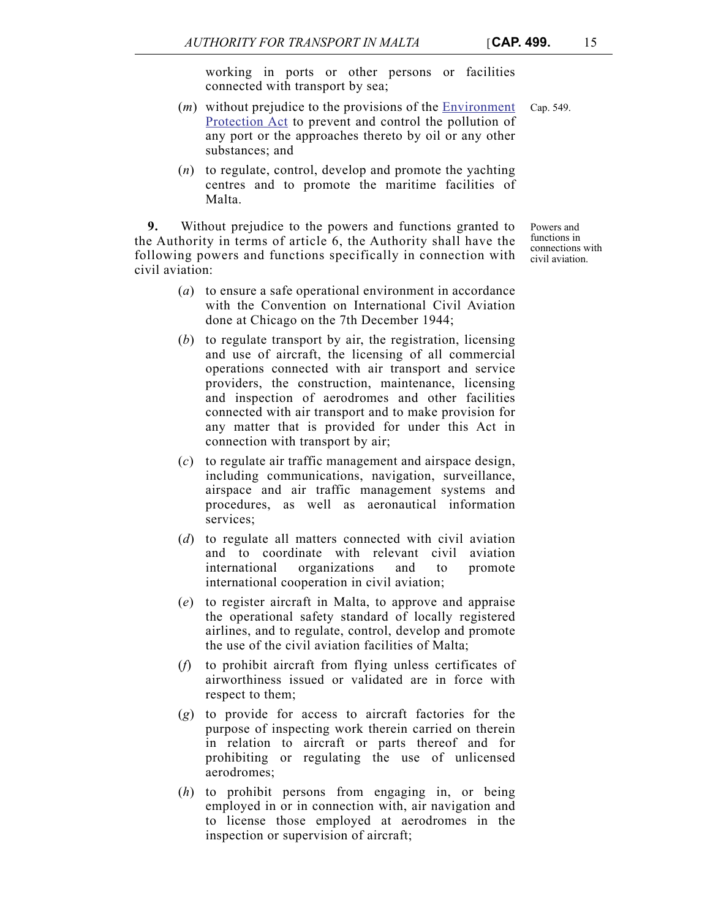working in ports or other persons or facilities connected with transport by sea;

- (*m*) without prejudice to the provisions of the [Environment](http://www.justiceservices.gov.mt/DownloadDocument.aspx?app=lom&itemid=8901&l=1) Cap. 549. [Protection Act](http://www.justiceservices.gov.mt/DownloadDocument.aspx?app=lom&itemid=8901&l=1) to prevent and control the pollution of any port or the approaches thereto by oil or any other substances; and
- (*n*) to regulate, control, develop and promote the yachting centres and to promote the maritime facilities of Malta.

**9.** Without prejudice to the powers and functions granted to the Authority in terms of article 6, the Authority shall have the following powers and functions specifically in connection with civil aviation:

- Powers and functions in connections with civil aviation.
- (*a*) to ensure a safe operational environment in accordance with the Convention on International Civil Aviation done at Chicago on the 7th December 1944;
- (*b*) to regulate transport by air, the registration, licensing and use of aircraft, the licensing of all commercial operations connected with air transport and service providers, the construction, maintenance, licensing and inspection of aerodromes and other facilities connected with air transport and to make provision for any matter that is provided for under this Act in connection with transport by air;
- (*c*) to regulate air traffic management and airspace design, including communications, navigation, surveillance, airspace and air traffic management systems and procedures, as well as aeronautical information services;
- (*d*) to regulate all matters connected with civil aviation and to coordinate with relevant civil aviation international organizations and to promote international cooperation in civil aviation;
- (*e*) to register aircraft in Malta, to approve and appraise the operational safety standard of locally registered airlines, and to regulate, control, develop and promote the use of the civil aviation facilities of Malta;
- (*f*) to prohibit aircraft from flying unless certificates of airworthiness issued or validated are in force with respect to them;
- (*g*) to provide for access to aircraft factories for the purpose of inspecting work therein carried on therein in relation to aircraft or parts thereof and for prohibiting or regulating the use of unlicensed aerodromes;
- (*h*) to prohibit persons from engaging in, or being employed in or in connection with, air navigation and to license those employed at aerodromes in the inspection or supervision of aircraft;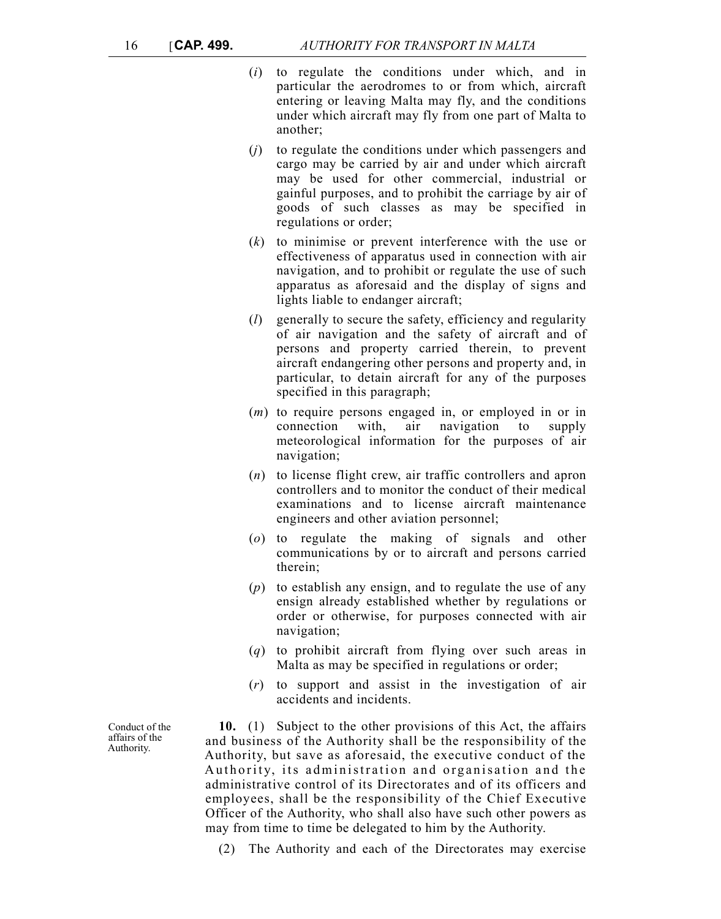- (*i*) to regulate the conditions under which, and in particular the aerodromes to or from which, aircraft entering or leaving Malta may fly, and the conditions under which aircraft may fly from one part of Malta to another;
- (*j*) to regulate the conditions under which passengers and cargo may be carried by air and under which aircraft may be used for other commercial, industrial or gainful purposes, and to prohibit the carriage by air of goods of such classes as may be specified in regulations or order;
- (*k*) to minimise or prevent interference with the use or effectiveness of apparatus used in connection with air navigation, and to prohibit or regulate the use of such apparatus as aforesaid and the display of signs and lights liable to endanger aircraft;
- (*l*) generally to secure the safety, efficiency and regularity of air navigation and the safety of aircraft and of persons and property carried therein, to prevent aircraft endangering other persons and property and, in particular, to detain aircraft for any of the purposes specified in this paragraph;
- (*m*) to require persons engaged in, or employed in or in connection with, air navigation to supply meteorological information for the purposes of air navigation;
- (*n*) to license flight crew, air traffic controllers and apron controllers and to monitor the conduct of their medical examinations and to license aircraft maintenance engineers and other aviation personnel;
- (*o*) to regulate the making of signals and other communications by or to aircraft and persons carried therein;
- (*p*) to establish any ensign, and to regulate the use of any ensign already established whether by regulations or order or otherwise, for purposes connected with air navigation;
- (*q*) to prohibit aircraft from flying over such areas in Malta as may be specified in regulations or order;
- (*r*) to support and assist in the investigation of air accidents and incidents.

**10.** (1) Subject to the other provisions of this Act, the affairs and business of the Authority shall be the responsibility of the Authority, but save as aforesaid, the executive conduct of the Authority, its administration and organisation and the administrative control of its Directorates and of its officers and employees, shall be the responsibility of the Chief Executive Officer of the Authority, who shall also have such other powers as may from time to time be delegated to him by the Authority.

(2) The Authority and each of the Directorates may exercise

Conduct of the affairs of the Authority.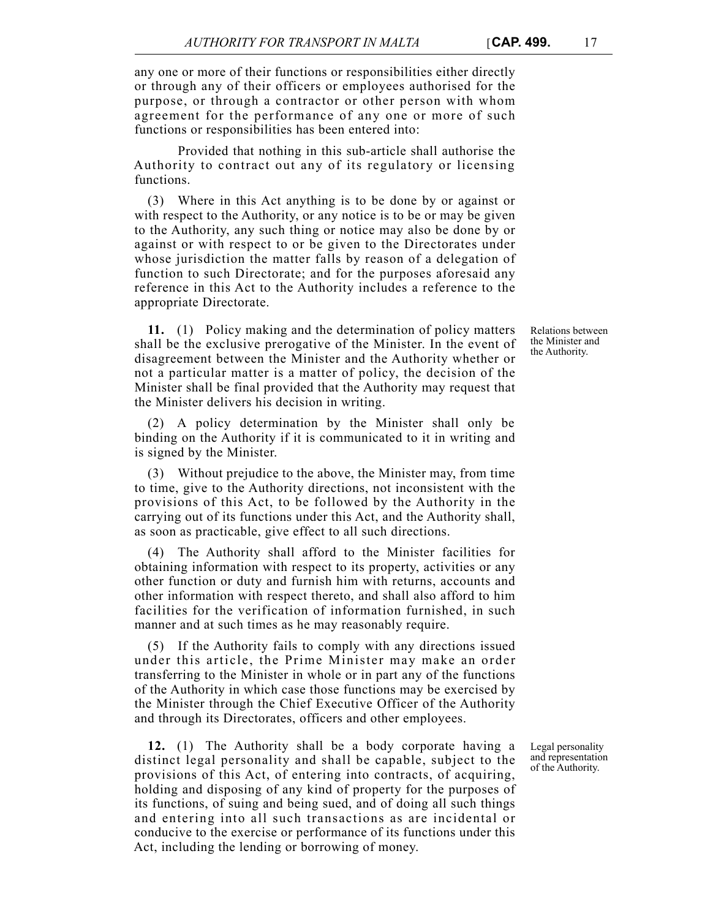any one or more of their functions or responsibilities either directly or through any of their officers or employees authorised for the purpose, or through a contractor or other person with whom agreement for the performance of any one or more of such functions or responsibilities has been entered into:

Provided that nothing in this sub-article shall authorise the Authority to contract out any of its regulatory or licensing functions.

(3) Where in this Act anything is to be done by or against or with respect to the Authority, or any notice is to be or may be given to the Authority, any such thing or notice may also be done by or against or with respect to or be given to the Directorates under whose jurisdiction the matter falls by reason of a delegation of function to such Directorate; and for the purposes aforesaid any reference in this Act to the Authority includes a reference to the appropriate Directorate.

**11.** (1) Policy making and the determination of policy matters shall be the exclusive prerogative of the Minister. In the event of disagreement between the Minister and the Authority whether or not a particular matter is a matter of policy, the decision of the Minister shall be final provided that the Authority may request that the Minister delivers his decision in writing.

(2) A policy determination by the Minister shall only be binding on the Authority if it is communicated to it in writing and is signed by the Minister.

(3) Without prejudice to the above, the Minister may, from time to time, give to the Authority directions, not inconsistent with the provisions of this Act, to be followed by the Authority in the carrying out of its functions under this Act, and the Authority shall, as soon as practicable, give effect to all such directions.

(4) The Authority shall afford to the Minister facilities for obtaining information with respect to its property, activities or any other function or duty and furnish him with returns, accounts and other information with respect thereto, and shall also afford to him facilities for the verification of information furnished, in such manner and at such times as he may reasonably require.

(5) If the Authority fails to comply with any directions issued under this article, the Prime Minister may make an order transferring to the Minister in whole or in part any of the functions of the Authority in which case those functions may be exercised by the Minister through the Chief Executive Officer of the Authority and through its Directorates, officers and other employees.

**12.** (1) The Authority shall be a body corporate having a distinct legal personality and shall be capable, subject to the provisions of this Act, of entering into contracts, of acquiring, holding and disposing of any kind of property for the purposes of its functions, of suing and being sued, and of doing all such things and entering into all such transactions as are incidental or conducive to the exercise or performance of its functions under this Act, including the lending or borrowing of money.

Legal personality and representation of the Authority.

Relations between the Minister and the Authority.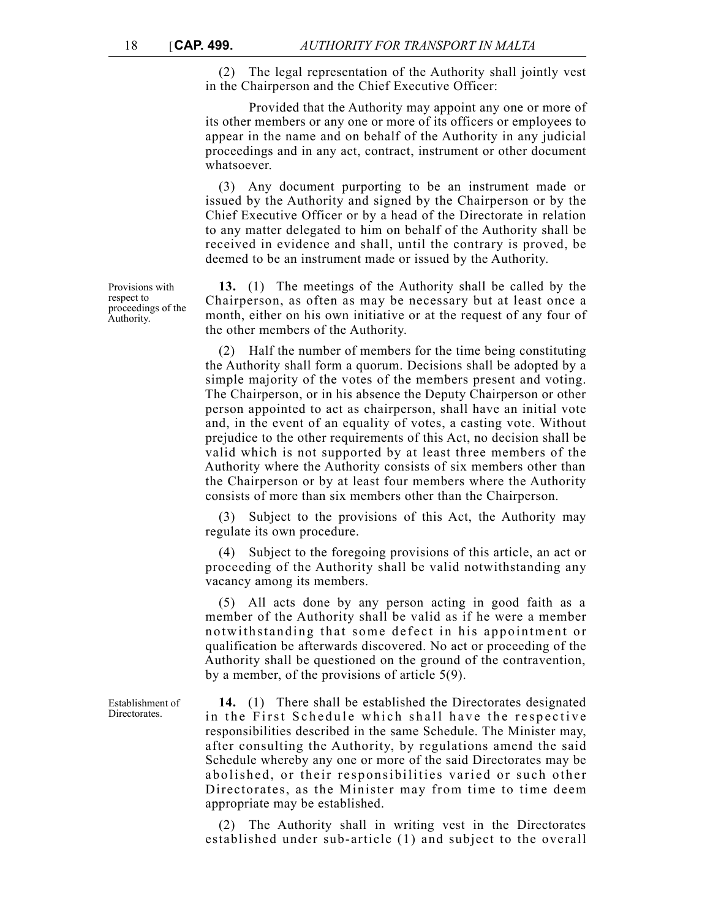(2) The legal representation of the Authority shall jointly vest in the Chairperson and the Chief Executive Officer:

Provided that the Authority may appoint any one or more of its other members or any one or more of its officers or employees to appear in the name and on behalf of the Authority in any judicial proceedings and in any act, contract, instrument or other document whatsoever.

(3) Any document purporting to be an instrument made or issued by the Authority and signed by the Chairperson or by the Chief Executive Officer or by a head of the Directorate in relation to any matter delegated to him on behalf of the Authority shall be received in evidence and shall, until the contrary is proved, be deemed to be an instrument made or issued by the Authority.

**13.** (1) The meetings of the Authority shall be called by the Chairperson, as often as may be necessary but at least once a month, either on his own initiative or at the request of any four of the other members of the Authority.

(2) Half the number of members for the time being constituting the Authority shall form a quorum. Decisions shall be adopted by a simple majority of the votes of the members present and voting. The Chairperson, or in his absence the Deputy Chairperson or other person appointed to act as chairperson, shall have an initial vote and, in the event of an equality of votes, a casting vote. Without prejudice to the other requirements of this Act, no decision shall be valid which is not supported by at least three members of the Authority where the Authority consists of six members other than the Chairperson or by at least four members where the Authority consists of more than six members other than the Chairperson.

(3) Subject to the provisions of this Act, the Authority may regulate its own procedure.

(4) Subject to the foregoing provisions of this article, an act or proceeding of the Authority shall be valid notwithstanding any vacancy among its members.

(5) All acts done by any person acting in good faith as a member of the Authority shall be valid as if he were a member notwithstanding that some defect in his appointment or qualification be afterwards discovered. No act or proceeding of the Authority shall be questioned on the ground of the contravention, by a member, of the provisions of article 5(9).

**14.** (1) There shall be established the Directorates designated in the First Schedule which shall have the respective responsibilities described in the same Schedule. The Minister may, after consulting the Authority, by regulations amend the said Schedule whereby any one or more of the said Directorates may be abolished, or their responsibilities varied or such other Directorates, as the Minister may from time to time deem appropriate may be established.

(2) The Authority shall in writing vest in the Directorates established under sub-article (1) and subject to the overall

Provisions with respect to proceedings of the Authority.

Establishment of **Directorates**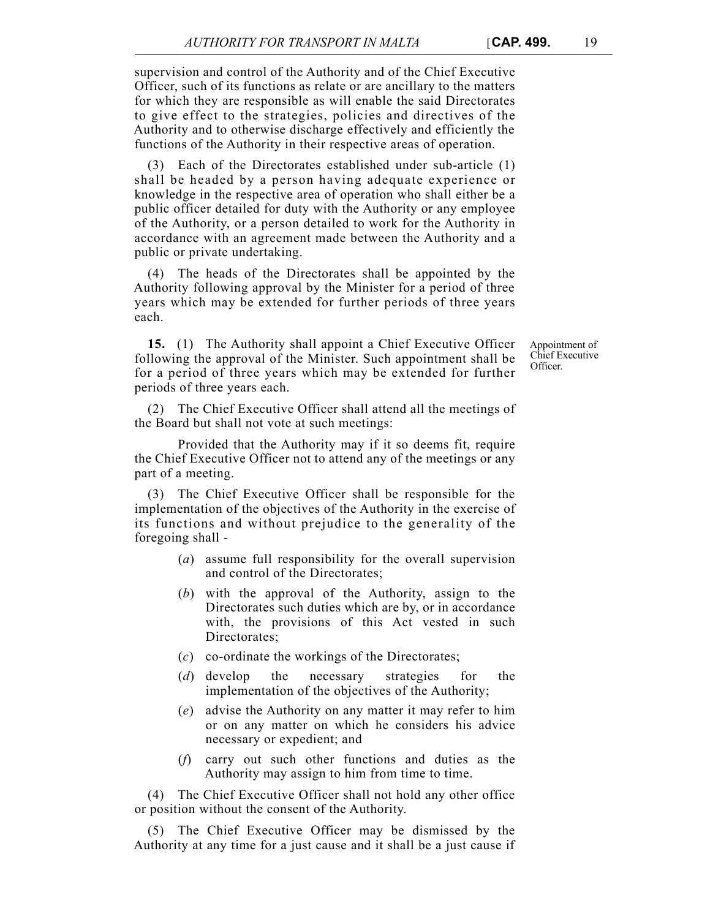supervision and control of the Authority and of the Chief Executive Officer, such of its functions as relate or are ancillary to the matters for which they are responsible as will enable the said Directorates to give effect to the strategies, policies and directives of the Authority and to otherwise discharge effectively and efficiently the functions of the Authority in their respective areas of operation.

(3) Each of the Directorates established under sub-article (1) shall be headed by a person having adequate experience or knowledge in the respective area of operation who shall either be a public officer detailed for duty with the Authority or any employee of the Authority, or a person detailed to work for the Authority in accordance with an agreement made between the Authority and a public or private undertaking.

(4) The heads of the Directorates shall be appointed by the Authority following approval by the Minister for a period of three years which may be extended for further periods of three years each.

**15.** (1) The Authority shall appoint a Chief Executive Officer following the approval of the Minister. Such appointment shall be for a period of three years which may be extended for further periods of three years each.

(2) The Chief Executive Officer shall attend all the meetings of the Board but shall not vote at such meetings:

Provided that the Authority may if it so deems fit, require the Chief Executive Officer not to attend any of the meetings or any part of a meeting.

(3) The Chief Executive Officer shall be responsible for the implementation of the objectives of the Authority in the exercise of its functions and without prejudice to the generality of the foregoing shall -

- (*a*) assume full responsibility for the overall supervision and control of the Directorates;
- (*b*) with the approval of the Authority, assign to the Directorates such duties which are by, or in accordance with, the provisions of this Act vested in such Directorates;
- (*c*) co-ordinate the workings of the Directorates;
- (*d*) develop the necessary strategies for the implementation of the objectives of the Authority;
- (*e*) advise the Authority on any matter it may refer to him or on any matter on which he considers his advice necessary or expedient; and
- (*f*) carry out such other functions and duties as the Authority may assign to him from time to time.

(4) The Chief Executive Officer shall not hold any other office or position without the consent of the Authority.

(5) The Chief Executive Officer may be dismissed by the Authority at any time for a just cause and it shall be a just cause if Appointment of Chief Executive Officer.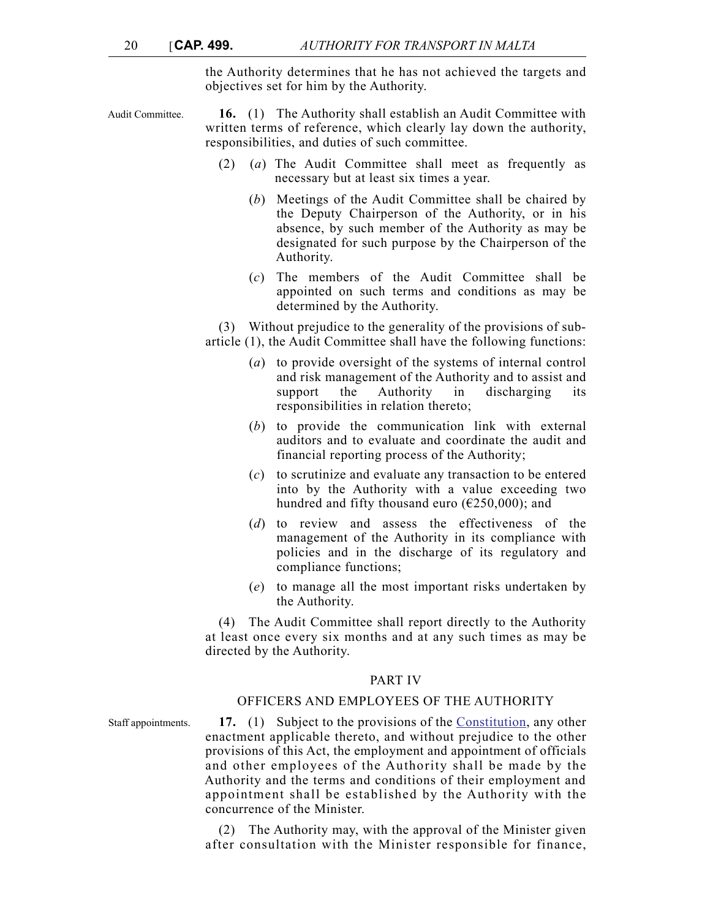the Authority determines that he has not achieved the targets and objectives set for him by the Authority.

Audit Committee. **16.** (1) The Authority shall establish an Audit Committee with written terms of reference, which clearly lay down the authority, responsibilities, and duties of such committee.

- (2) (*a*) The Audit Committee shall meet as frequently as necessary but at least six times a year.
	- (*b*) Meetings of the Audit Committee shall be chaired by the Deputy Chairperson of the Authority, or in his absence, by such member of the Authority as may be designated for such purpose by the Chairperson of the Authority.
	- (*c*) The members of the Audit Committee shall be appointed on such terms and conditions as may be determined by the Authority.

(3) Without prejudice to the generality of the provisions of subarticle (1), the Audit Committee shall have the following functions:

- (*a*) to provide oversight of the systems of internal control and risk management of the Authority and to assist and support the Authority in discharging its responsibilities in relation thereto;
- (*b*) to provide the communication link with external auditors and to evaluate and coordinate the audit and financial reporting process of the Authority;
- (*c*) to scrutinize and evaluate any transaction to be entered into by the Authority with a value exceeding two hundred and fifty thousand euro ( $\epsilon$ 250,000); and
- (*d*) to review and assess the effectiveness of the management of the Authority in its compliance with policies and in the discharge of its regulatory and compliance functions;
- (*e*) to manage all the most important risks undertaken by the Authority.

(4) The Audit Committee shall report directly to the Authority at least once every six months and at any such times as may be directed by the Authority.

#### PART IV

## OFFICERS AND EMPLOYEES OF THE AUTHORITY

Staff appointments. **17.** (1) Subject to the provisions of the [Constitution](http://www.justiceservices.gov.mt/DownloadDocument.aspx?app=lom&itemid=8566&l=1), any other enactment applicable thereto, and without prejudice to the other provisions of this Act, the employment and appointment of officials and other employees of the Authority shall be made by the Authority and the terms and conditions of their employment and appointment shall be established by the Authority with the concurrence of the Minister.

> (2) The Authority may, with the approval of the Minister given after consultation with the Minister responsible for finance,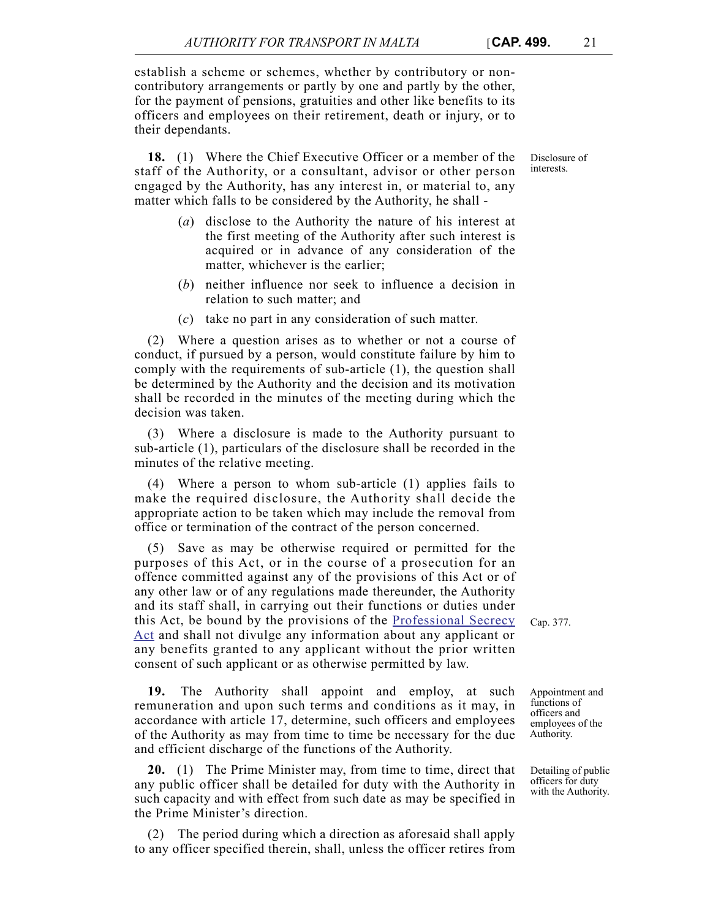establish a scheme or schemes, whether by contributory or noncontributory arrangements or partly by one and partly by the other, for the payment of pensions, gratuities and other like benefits to its officers and employees on their retirement, death or injury, or to their dependants.

**18.** (1) Where the Chief Executive Officer or a member of the staff of the Authority, or a consultant, advisor or other person engaged by the Authority, has any interest in, or material to, any matter which falls to be considered by the Authority, he shall -

- (*a*) disclose to the Authority the nature of his interest at the first meeting of the Authority after such interest is acquired or in advance of any consideration of the matter, whichever is the earlier;
- (*b*) neither influence nor seek to influence a decision in relation to such matter; and
- (*c*) take no part in any consideration of such matter.

(2) Where a question arises as to whether or not a course of conduct, if pursued by a person, would constitute failure by him to comply with the requirements of sub-article (1), the question shall be determined by the Authority and the decision and its motivation shall be recorded in the minutes of the meeting during which the decision was taken.

(3) Where a disclosure is made to the Authority pursuant to sub-article (1), particulars of the disclosure shall be recorded in the minutes of the relative meeting.

(4) Where a person to whom sub-article (1) applies fails to make the required disclosure, the Authority shall decide the appropriate action to be taken which may include the removal from office or termination of the contract of the person concerned.

(5) Save as may be otherwise required or permitted for the purposes of this Act, or in the course of a prosecution for an offence committed against any of the provisions of this Act or of any other law or of any regulations made thereunder, the Authority and its staff shall, in carrying out their functions or duties under this Act, be bound by the provisions of the [Professional Secrecy](http://www.justiceservices.gov.mt/DownloadDocument.aspx?app=lom&itemid=8844&l=1) [Act](http://www.justiceservices.gov.mt/DownloadDocument.aspx?app=lom&itemid=8844&l=1) and shall not divulge any information about any applicant or any benefits granted to any applicant without the prior written consent of such applicant or as otherwise permitted by law.

**19.** The Authority shall appoint and employ, at such remuneration and upon such terms and conditions as it may, in accordance with article 17, determine, such officers and employees of the Authority as may from time to time be necessary for the due and efficient discharge of the functions of the Authority.

**20.** (1) The Prime Minister may, from time to time, direct that any public officer shall be detailed for duty with the Authority in such capacity and with effect from such date as may be specified in the Prime Minister's direction.

(2) The period during which a direction as aforesaid shall apply to any officer specified therein, shall, unless the officer retires from

Cap. 377.

Disclosure of interests.

Appointment and functions of officers and

employees of the Authority.

Detailing of public officers for duty with the Authority.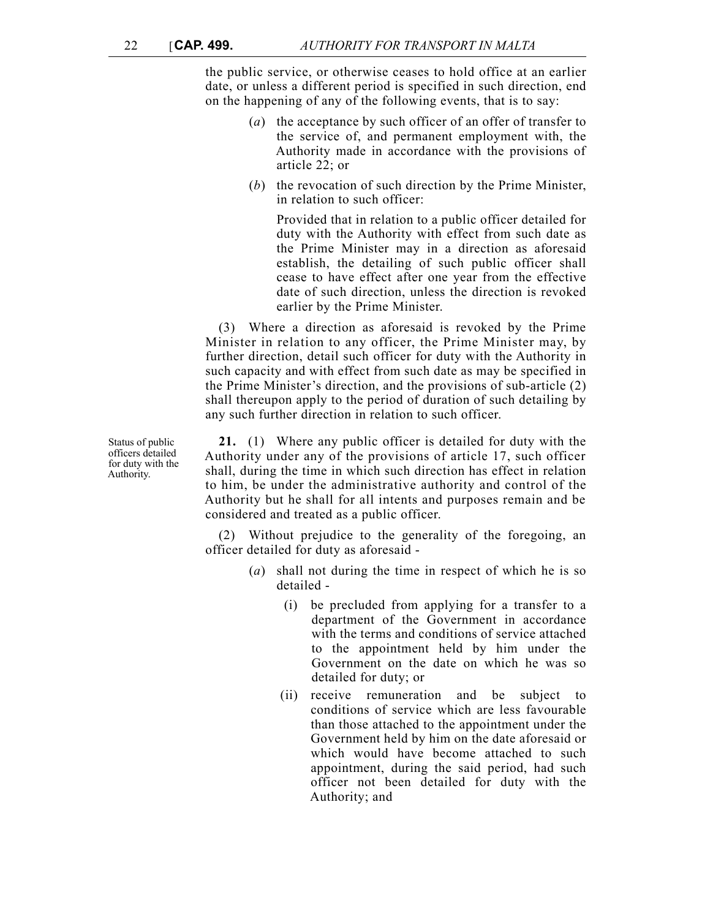the public service, or otherwise ceases to hold office at an earlier date, or unless a different period is specified in such direction, end on the happening of any of the following events, that is to say:

- (*a*) the acceptance by such officer of an offer of transfer to the service of, and permanent employment with, the Authority made in accordance with the provisions of article 22; or
- (*b*) the revocation of such direction by the Prime Minister, in relation to such officer:

Provided that in relation to a public officer detailed for duty with the Authority with effect from such date as the Prime Minister may in a direction as aforesaid establish, the detailing of such public officer shall cease to have effect after one year from the effective date of such direction, unless the direction is revoked earlier by the Prime Minister.

(3) Where a direction as aforesaid is revoked by the Prime Minister in relation to any officer, the Prime Minister may, by further direction, detail such officer for duty with the Authority in such capacity and with effect from such date as may be specified in the Prime Minister's direction, and the provisions of sub-article (2) shall thereupon apply to the period of duration of such detailing by any such further direction in relation to such officer.

**21.** (1) Where any public officer is detailed for duty with the Authority under any of the provisions of article 17, such officer shall, during the time in which such direction has effect in relation to him, be under the administrative authority and control of the Authority but he shall for all intents and purposes remain and be considered and treated as a public officer.

(2) Without prejudice to the generality of the foregoing, an officer detailed for duty as aforesaid -

- (*a*) shall not during the time in respect of which he is so detailed -
	- (i) be precluded from applying for a transfer to a department of the Government in accordance with the terms and conditions of service attached to the appointment held by him under the Government on the date on which he was so detailed for duty; or
	- (ii) receive remuneration and be subject to conditions of service which are less favourable than those attached to the appointment under the Government held by him on the date aforesaid or which would have become attached to such appointment, during the said period, had such officer not been detailed for duty with the Authority; and

Status of public officers detailed for duty with the Authority.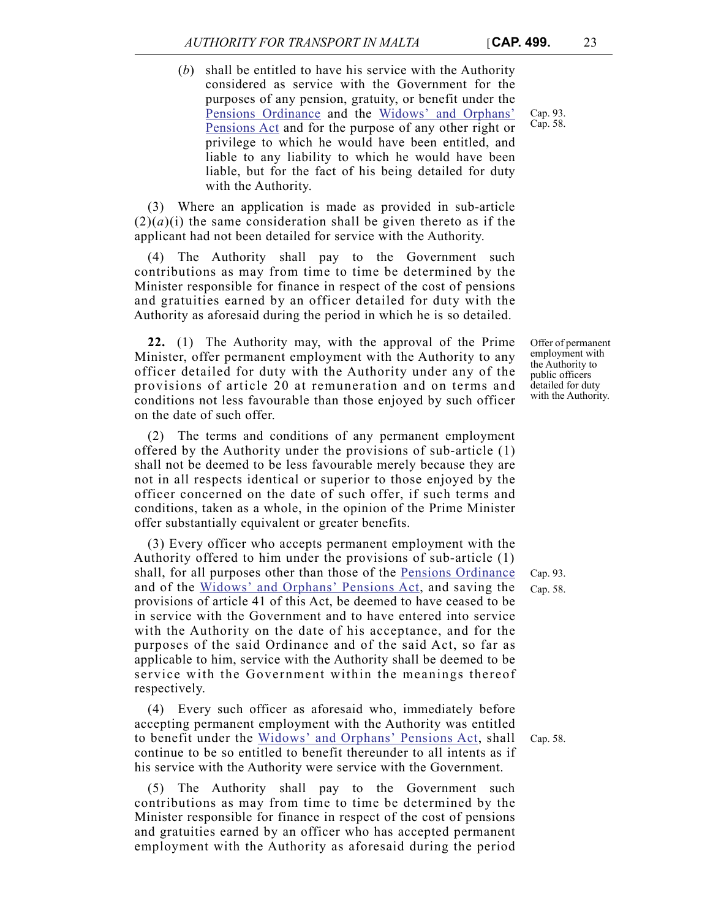(*b*) shall be entitled to have his service with the Authority considered as service with the Government for the purposes of any pension, gratuity, or benefit under the [Pensions Ordinance](http://www.justiceservices.gov.mt/DownloadDocument.aspx?app=lom&itemid=8636&l=1) and the [Widows' and Orphans'](http://www.justiceservices.gov.mt/DownloadDocument.aspx?app=lom&itemid=8610&l=1) [Pensions Act](http://www.justiceservices.gov.mt/DownloadDocument.aspx?app=lom&itemid=8610&l=1) and for the purpose of any other right or privilege to which he would have been entitled, and liable to any liability to which he would have been liable, but for the fact of his being detailed for duty with the Authority.

(3) Where an application is made as provided in sub-article  $(2)(a)(i)$  the same consideration shall be given thereto as if the applicant had not been detailed for service with the Authority.

(4) The Authority shall pay to the Government such contributions as may from time to time be determined by the Minister responsible for finance in respect of the cost of pensions and gratuities earned by an officer detailed for duty with the Authority as aforesaid during the period in which he is so detailed.

**22.** (1) The Authority may, with the approval of the Prime Minister, offer permanent employment with the Authority to any officer detailed for duty with the Authority under any of the provisions of article 20 at remuneration and on terms and conditions not less favourable than those enjoyed by such officer on the date of such offer.

(2) The terms and conditions of any permanent employment offered by the Authority under the provisions of sub-article (1) shall not be deemed to be less favourable merely because they are not in all respects identical or superior to those enjoyed by the officer concerned on the date of such offer, if such terms and conditions, taken as a whole, in the opinion of the Prime Minister offer substantially equivalent or greater benefits.

(3) Every officer who accepts permanent employment with the Authority offered to him under the provisions of sub-article (1) shall, for all purposes other than those of the [Pensions Ordinance](http://www.justiceservices.gov.mt/DownloadDocument.aspx?app=lom&itemid=8636&l=1) and of the [Widows' and Orphans' Pensions Act](http://www.justiceservices.gov.mt/DownloadDocument.aspx?app=lom&itemid=8610&l=1), and saving the provisions of article 41 of this Act, be deemed to have ceased to be in service with the Government and to have entered into service with the Authority on the date of his acceptance, and for the purposes of the said Ordinance and of the said Act, so far as applicable to him, service with the Authority shall be deemed to be service with the Government within the meanings thereof respectively.

(4) Every such officer as aforesaid who, immediately before accepting permanent employment with the Authority was entitled to benefit under the [Widows' and Orphans' Pensions Act](http://www.justiceservices.gov.mt/DownloadDocument.aspx?app=lom&itemid=8610&l=1), shall continue to be so entitled to benefit thereunder to all intents as if his service with the Authority were service with the Government.

(5) The Authority shall pay to the Government such contributions as may from time to time be determined by the Minister responsible for finance in respect of the cost of pensions and gratuities earned by an officer who has accepted permanent employment with the Authority as aforesaid during the period

Offer of permanent employment with the Authority to public officers detailed for duty with the Authority.

Cap. 93. Cap. 58.

Cap. 93. Cap. 58.

Cap. 58.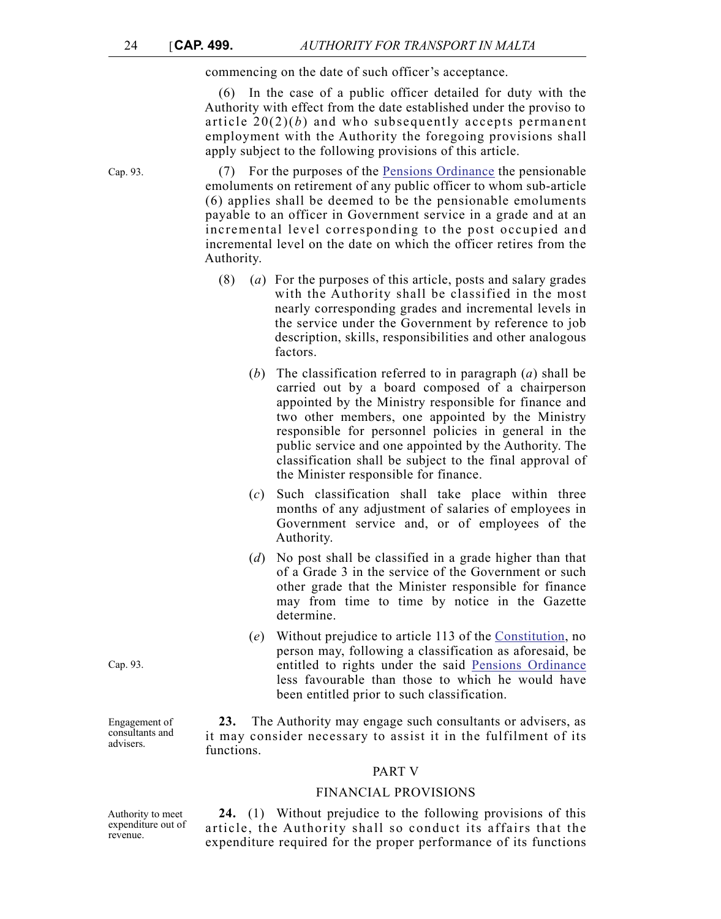commencing on the date of such officer's acceptance.

(6) In the case of a public officer detailed for duty with the Authority with effect from the date established under the proviso to article 20(2)(*b*) and who subsequently accepts permanent employment with the Authority the foregoing provisions shall apply subject to the following provisions of this article.

Cap. 93. (7) For the purposes of the [Pensions Ordinance](http://www.justiceservices.gov.mt/DownloadDocument.aspx?app=lom&itemid=8636&l=1) the pensionable emoluments on retirement of any public officer to whom sub-article (6) applies shall be deemed to be the pensionable emoluments payable to an officer in Government service in a grade and at an incremental level corresponding to the post occupied and incremental level on the date on which the officer retires from the Authority.

- (8) (*a*) For the purposes of this article, posts and salary grades with the Authority shall be classified in the most nearly corresponding grades and incremental levels in the service under the Government by reference to job description, skills, responsibilities and other analogous factors.
	- (*b*) The classification referred to in paragraph (*a*) shall be carried out by a board composed of a chairperson appointed by the Ministry responsible for finance and two other members, one appointed by the Ministry responsible for personnel policies in general in the public service and one appointed by the Authority. The classification shall be subject to the final approval of the Minister responsible for finance.
	- (*c*) Such classification shall take place within three months of any adjustment of salaries of employees in Government service and, or of employees of the Authority.
	- (*d*) No post shall be classified in a grade higher than that of a Grade 3 in the service of the Government or such other grade that the Minister responsible for finance may from time to time by notice in the Gazette determine.
	- (*e*) Without prejudice to article 113 of the [Constitution,](http://www.justiceservices.gov.mt/DownloadDocument.aspx?app=lom&itemid=8566&l=1) no person may, following a classification as aforesaid, be entitled to rights under the said [Pensions Ordinance](http://www.justiceservices.gov.mt/DownloadDocument.aspx?app=lom&itemid=8636&l=1) less favourable than those to which he would have been entitled prior to such classification.

**23.** The Authority may engage such consultants or advisers, as it may consider necessary to assist it in the fulfilment of its functions.

## PART V

#### FINANCIAL PROVISIONS

Authority to meet expenditure out of revenue.

**24.** (1) Without prejudice to the following provisions of this article, the Authority shall so conduct its affairs that the expenditure required for the proper performance of its functions

Cap. 93.

Engagement of consultants and advisers.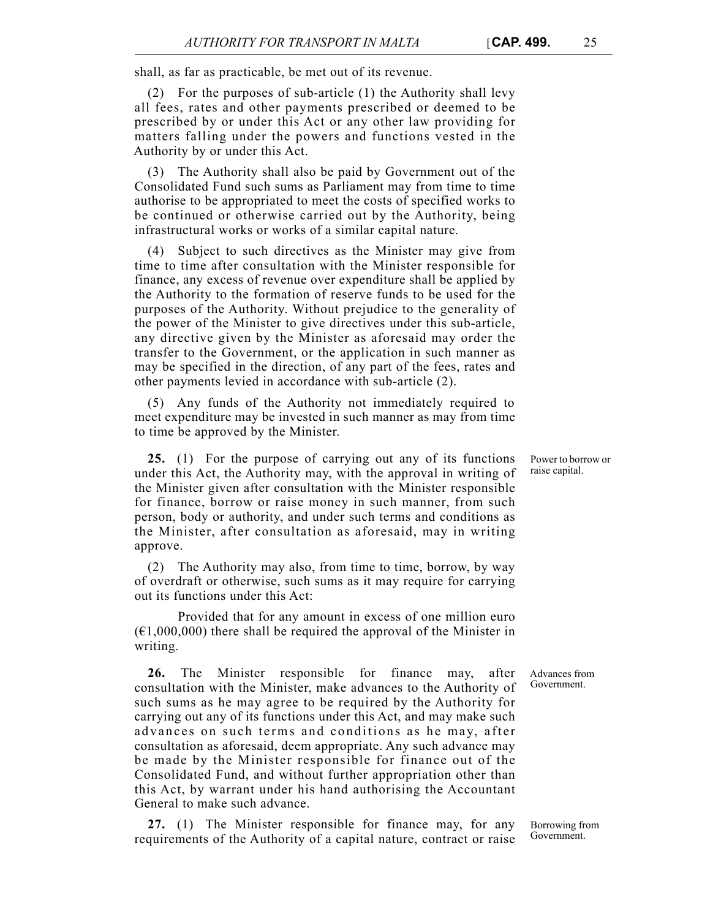shall, as far as practicable, be met out of its revenue.

(2) For the purposes of sub-article (1) the Authority shall levy all fees, rates and other payments prescribed or deemed to be prescribed by or under this Act or any other law providing for matters falling under the powers and functions vested in the Authority by or under this Act.

(3) The Authority shall also be paid by Government out of the Consolidated Fund such sums as Parliament may from time to time authorise to be appropriated to meet the costs of specified works to be continued or otherwise carried out by the Authority, being infrastructural works or works of a similar capital nature.

(4) Subject to such directives as the Minister may give from time to time after consultation with the Minister responsible for finance, any excess of revenue over expenditure shall be applied by the Authority to the formation of reserve funds to be used for the purposes of the Authority. Without prejudice to the generality of the power of the Minister to give directives under this sub-article, any directive given by the Minister as aforesaid may order the transfer to the Government, or the application in such manner as may be specified in the direction, of any part of the fees, rates and other payments levied in accordance with sub-article (2).

(5) Any funds of the Authority not immediately required to meet expenditure may be invested in such manner as may from time to time be approved by the Minister.

**25.** (1) For the purpose of carrying out any of its functions under this Act, the Authority may, with the approval in writing of the Minister given after consultation with the Minister responsible for finance, borrow or raise money in such manner, from such person, body or authority, and under such terms and conditions as the Minister, after consultation as aforesaid, may in writing approve.

(2) The Authority may also, from time to time, borrow, by way of overdraft or otherwise, such sums as it may require for carrying out its functions under this Act:

Provided that for any amount in excess of one million euro  $(\text{\textsterling}1,000,000)$  there shall be required the approval of the Minister in writing.

**26.** The Minister responsible for finance may, after consultation with the Minister, make advances to the Authority of such sums as he may agree to be required by the Authority for carrying out any of its functions under this Act, and may make such advances on such terms and conditions as he may, after consultation as aforesaid, deem appropriate. Any such advance may be made by the Minister responsible for finance out of the Consolidated Fund, and without further appropriation other than this Act, by warrant under his hand authorising the Accountant General to make such advance.

**27.** (1) The Minister responsible for finance may, for any requirements of the Authority of a capital nature, contract or raise

Power to borrow or raise capital.

Advances from Government.

Borrowing from Government.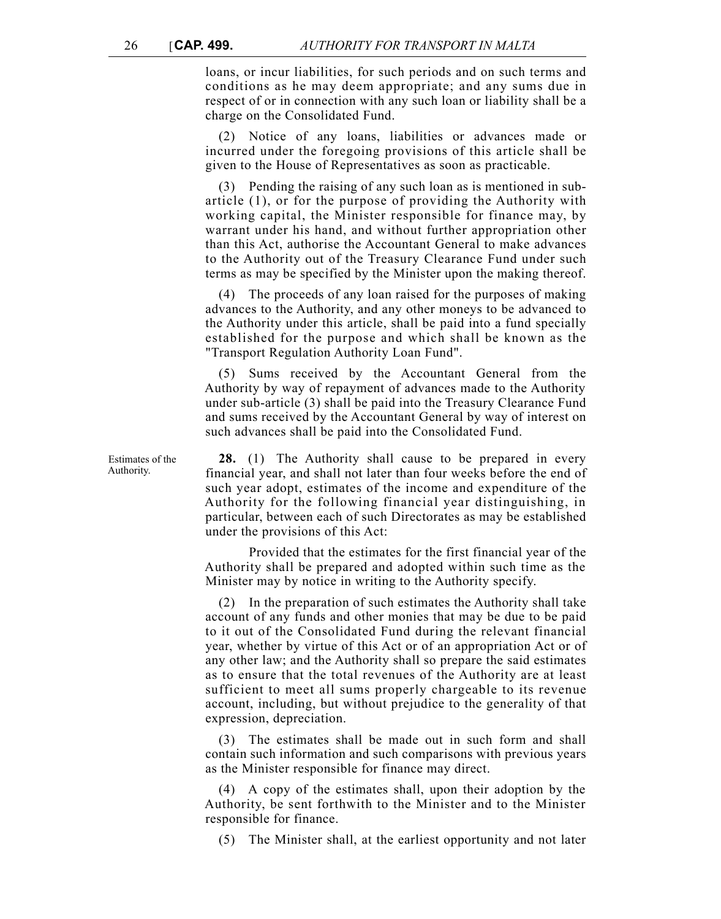loans, or incur liabilities, for such periods and on such terms and conditions as he may deem appropriate; and any sums due in respect of or in connection with any such loan or liability shall be a charge on the Consolidated Fund.

(2) Notice of any loans, liabilities or advances made or incurred under the foregoing provisions of this article shall be given to the House of Representatives as soon as practicable.

(3) Pending the raising of any such loan as is mentioned in subarticle (1), or for the purpose of providing the Authority with working capital, the Minister responsible for finance may, by warrant under his hand, and without further appropriation other than this Act, authorise the Accountant General to make advances to the Authority out of the Treasury Clearance Fund under such terms as may be specified by the Minister upon the making thereof.

(4) The proceeds of any loan raised for the purposes of making advances to the Authority, and any other moneys to be advanced to the Authority under this article, shall be paid into a fund specially established for the purpose and which shall be known as the "Transport Regulation Authority Loan Fund".

(5) Sums received by the Accountant General from the Authority by way of repayment of advances made to the Authority under sub-article (3) shall be paid into the Treasury Clearance Fund and sums received by the Accountant General by way of interest on such advances shall be paid into the Consolidated Fund.

**28.** (1) The Authority shall cause to be prepared in every financial year, and shall not later than four weeks before the end of such year adopt, estimates of the income and expenditure of the Authority for the following financial year distinguishing, in particular, between each of such Directorates as may be established under the provisions of this Act:

Provided that the estimates for the first financial year of the Authority shall be prepared and adopted within such time as the Minister may by notice in writing to the Authority specify.

(2) In the preparation of such estimates the Authority shall take account of any funds and other monies that may be due to be paid to it out of the Consolidated Fund during the relevant financial year, whether by virtue of this Act or of an appropriation Act or of any other law; and the Authority shall so prepare the said estimates as to ensure that the total revenues of the Authority are at least sufficient to meet all sums properly chargeable to its revenue account, including, but without prejudice to the generality of that expression, depreciation.

(3) The estimates shall be made out in such form and shall contain such information and such comparisons with previous years as the Minister responsible for finance may direct.

(4) A copy of the estimates shall, upon their adoption by the Authority, be sent forthwith to the Minister and to the Minister responsible for finance.

(5) The Minister shall, at the earliest opportunity and not later

Estimates of the Authority.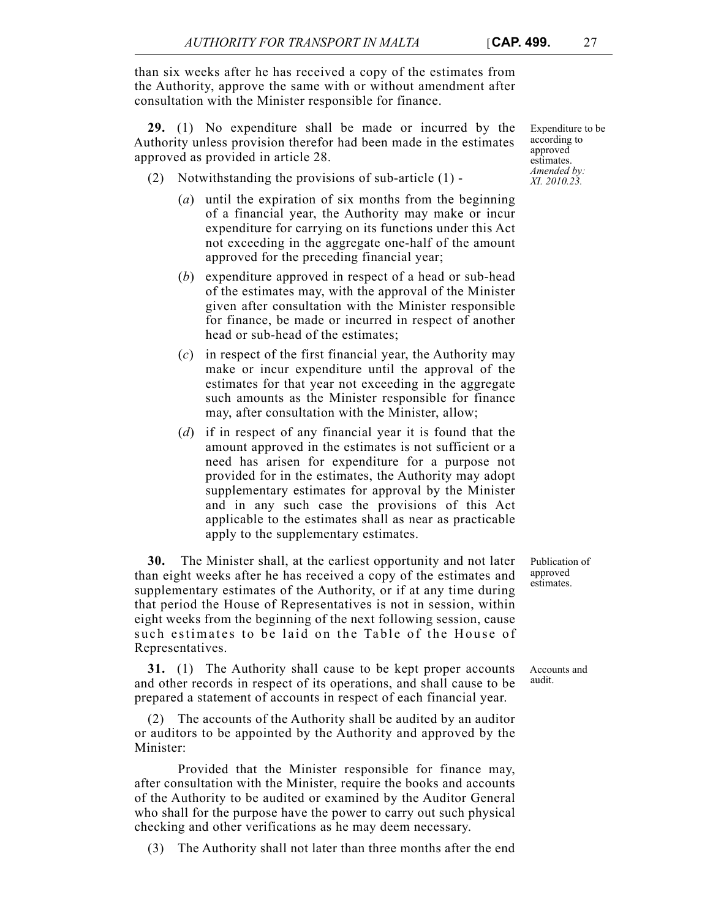than six weeks after he has received a copy of the estimates from the Authority, approve the same with or without amendment after consultation with the Minister responsible for finance.

**29.** (1) No expenditure shall be made or incurred by the Authority unless provision therefor had been made in the estimates approved as provided in article 28.

- (2) Notwithstanding the provisions of sub-article (1)
	- (*a*) until the expiration of six months from the beginning of a financial year, the Authority may make or incur expenditure for carrying on its functions under this Act not exceeding in the aggregate one-half of the amount approved for the preceding financial year;
	- (*b*) expenditure approved in respect of a head or sub-head of the estimates may, with the approval of the Minister given after consultation with the Minister responsible for finance, be made or incurred in respect of another head or sub-head of the estimates;
	- (*c*) in respect of the first financial year, the Authority may make or incur expenditure until the approval of the estimates for that year not exceeding in the aggregate such amounts as the Minister responsible for finance may, after consultation with the Minister, allow;
	- (*d*) if in respect of any financial year it is found that the amount approved in the estimates is not sufficient or a need has arisen for expenditure for a purpose not provided for in the estimates, the Authority may adopt supplementary estimates for approval by the Minister and in any such case the provisions of this Act applicable to the estimates shall as near as practicable apply to the supplementary estimates.

**30.** The Minister shall, at the earliest opportunity and not later than eight weeks after he has received a copy of the estimates and supplementary estimates of the Authority, or if at any time during that period the House of Representatives is not in session, within eight weeks from the beginning of the next following session, cause such estimates to be laid on the Table of the House of Representatives.

**31.** (1) The Authority shall cause to be kept proper accounts and other records in respect of its operations, and shall cause to be prepared a statement of accounts in respect of each financial year.

(2) The accounts of the Authority shall be audited by an auditor or auditors to be appointed by the Authority and approved by the Minister:

Provided that the Minister responsible for finance may, after consultation with the Minister, require the books and accounts of the Authority to be audited or examined by the Auditor General who shall for the purpose have the power to carry out such physical checking and other verifications as he may deem necessary.

(3) The Authority shall not later than three months after the end

Publication of approved estimates.

Accounts and audit.

Expenditure to be according to approved estimates. *Amended by: XI. 2010.23.*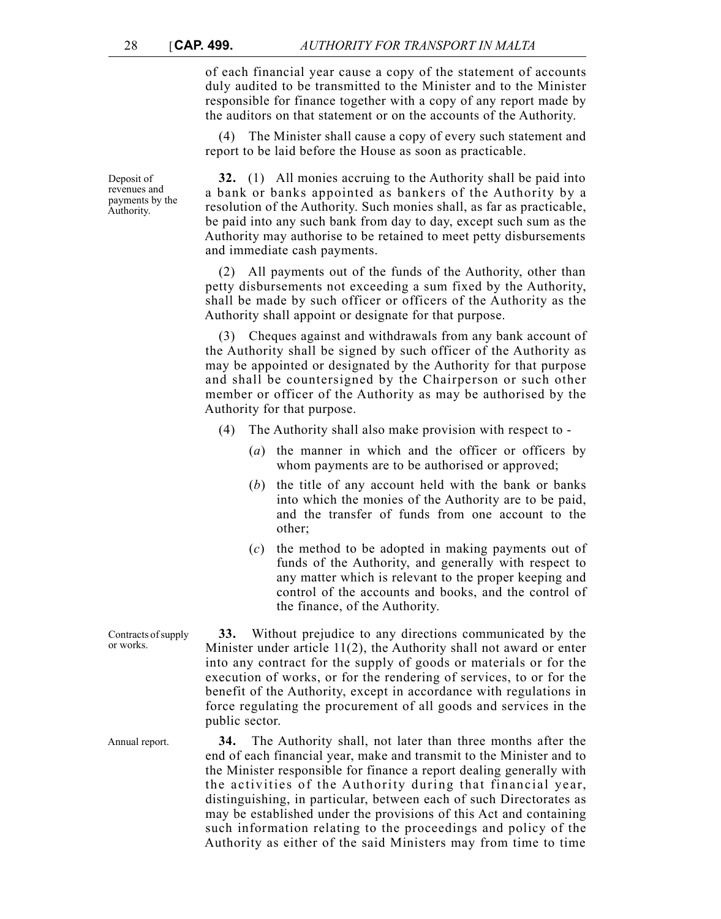of each financial year cause a copy of the statement of accounts duly audited to be transmitted to the Minister and to the Minister responsible for finance together with a copy of any report made by the auditors on that statement or on the accounts of the Authority.

(4) The Minister shall cause a copy of every such statement and report to be laid before the House as soon as practicable.

**32.** (1) All monies accruing to the Authority shall be paid into a bank or banks appointed as bankers of the Authority by a resolution of the Authority. Such monies shall, as far as practicable, be paid into any such bank from day to day, except such sum as the Authority may authorise to be retained to meet petty disbursements and immediate cash payments.

(2) All payments out of the funds of the Authority, other than petty disbursements not exceeding a sum fixed by the Authority, shall be made by such officer or officers of the Authority as the Authority shall appoint or designate for that purpose.

(3) Cheques against and withdrawals from any bank account of the Authority shall be signed by such officer of the Authority as may be appointed or designated by the Authority for that purpose and shall be countersigned by the Chairperson or such other member or officer of the Authority as may be authorised by the Authority for that purpose.

- (4) The Authority shall also make provision with respect to
	- (*a*) the manner in which and the officer or officers by whom payments are to be authorised or approved;
	- (*b*) the title of any account held with the bank or banks into which the monies of the Authority are to be paid, and the transfer of funds from one account to the other;
	- (*c*) the method to be adopted in making payments out of funds of the Authority, and generally with respect to any matter which is relevant to the proper keeping and control of the accounts and books, and the control of the finance, of the Authority.

Contracts of supply **33.** Without prejudice to any directions communicated by the Minister under article 11(2), the Authority shall not award or enter into any contract for the supply of goods or materials or for the execution of works, or for the rendering of services, to or for the benefit of the Authority, except in accordance with regulations in force regulating the procurement of all goods and services in the public sector.

Annual report. **34.** The Authority shall, not later than three months after the end of each financial year, make and transmit to the Minister and to the Minister responsible for finance a report dealing generally with the activities of the Authority during that financial year, distinguishing, in particular, between each of such Directorates as may be established under the provisions of this Act and containing such information relating to the proceedings and policy of the Authority as either of the said Ministers may from time to time

Deposit of revenues and payments by the Authority.

or works.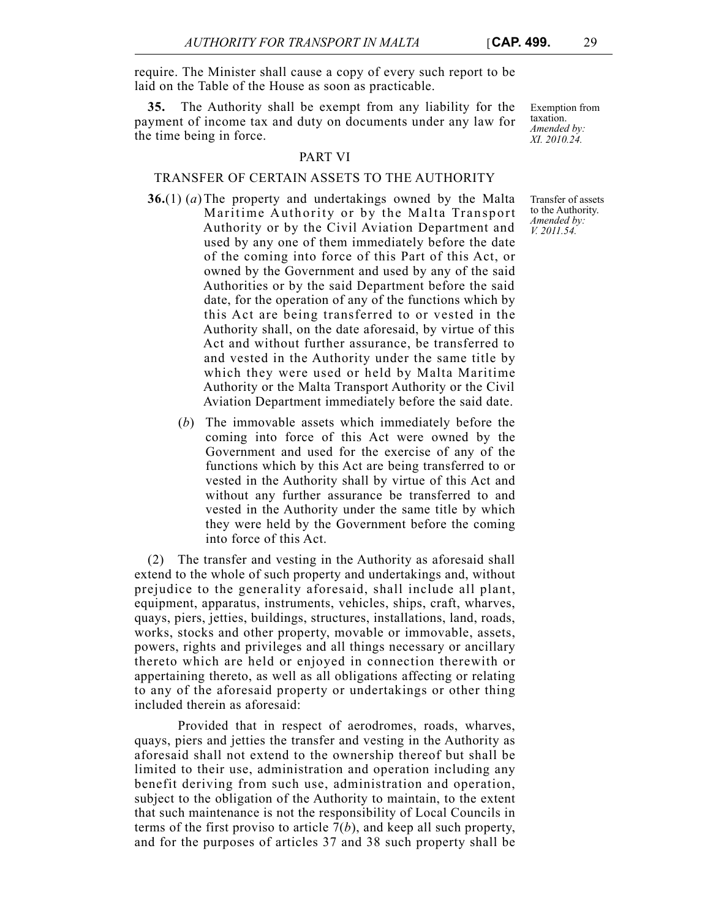require. The Minister shall cause a copy of every such report to be laid on the Table of the House as soon as practicable.

**35.** The Authority shall be exempt from any liability for the payment of income tax and duty on documents under any law for the time being in force.

## PART VI

## TRANSFER OF CERTAIN ASSETS TO THE AUTHORITY

- **36.**(1) (*a*) The property and undertakings owned by the Malta Maritime Authority or by the Malta Transport Authority or by the Civil Aviation Department and used by any one of them immediately before the date of the coming into force of this Part of this Act, or owned by the Government and used by any of the said Authorities or by the said Department before the said date, for the operation of any of the functions which by this Act are being transferred to or vested in the Authority shall, on the date aforesaid, by virtue of this Act and without further assurance, be transferred to and vested in the Authority under the same title by which they were used or held by Malta Maritime Authority or the Malta Transport Authority or the Civil Aviation Department immediately before the said date.
	- (*b*) The immovable assets which immediately before the coming into force of this Act were owned by the Government and used for the exercise of any of the functions which by this Act are being transferred to or vested in the Authority shall by virtue of this Act and without any further assurance be transferred to and vested in the Authority under the same title by which they were held by the Government before the coming into force of this Act.

(2) The transfer and vesting in the Authority as aforesaid shall extend to the whole of such property and undertakings and, without prejudice to the generality aforesaid, shall include all plant, equipment, apparatus, instruments, vehicles, ships, craft, wharves, quays, piers, jetties, buildings, structures, installations, land, roads, works, stocks and other property, movable or immovable, assets, powers, rights and privileges and all things necessary or ancillary thereto which are held or enjoyed in connection therewith or appertaining thereto, as well as all obligations affecting or relating to any of the aforesaid property or undertakings or other thing included therein as aforesaid:

Provided that in respect of aerodromes, roads, wharves, quays, piers and jetties the transfer and vesting in the Authority as aforesaid shall not extend to the ownership thereof but shall be limited to their use, administration and operation including any benefit deriving from such use, administration and operation, subject to the obligation of the Authority to maintain, to the extent that such maintenance is not the responsibility of Local Councils in terms of the first proviso to article 7(*b*), and keep all such property, and for the purposes of articles 37 and 38 such property shall be

Exemption from taxation. *Amended by: XI. 2010.24.*

Transfer of assets to the Authority. *Amended by: V. 2011.54.*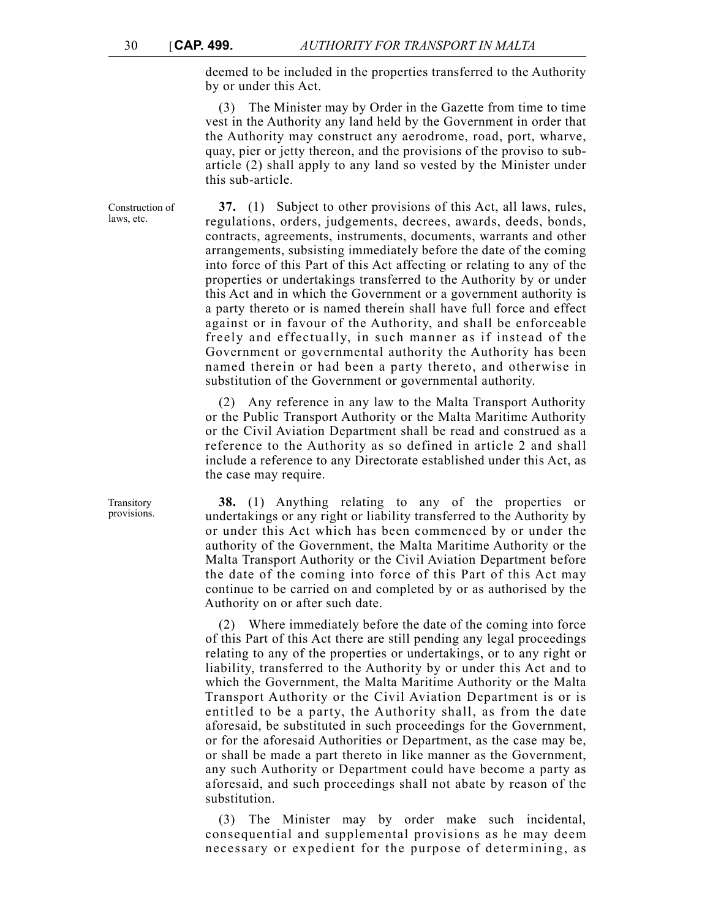deemed to be included in the properties transferred to the Authority by or under this Act.

(3) The Minister may by Order in the Gazette from time to time vest in the Authority any land held by the Government in order that the Authority may construct any aerodrome, road, port, wharve, quay, pier or jetty thereon, and the provisions of the proviso to subarticle (2) shall apply to any land so vested by the Minister under this sub-article.

**37.** (1) Subject to other provisions of this Act, all laws, rules, regulations, orders, judgements, decrees, awards, deeds, bonds, contracts, agreements, instruments, documents, warrants and other arrangements, subsisting immediately before the date of the coming into force of this Part of this Act affecting or relating to any of the properties or undertakings transferred to the Authority by or under this Act and in which the Government or a government authority is a party thereto or is named therein shall have full force and effect against or in favour of the Authority, and shall be enforceable freely and effectually, in such manner as if instead of the Government or governmental authority the Authority has been named therein or had been a party thereto, and otherwise in substitution of the Government or governmental authority.

> (2) Any reference in any law to the Malta Transport Authority or the Public Transport Authority or the Malta Maritime Authority or the Civil Aviation Department shall be read and construed as a reference to the Authority as so defined in article 2 and shall include a reference to any Directorate established under this Act, as the case may require.

> **38.** (1) Anything relating to any of the properties or undertakings or any right or liability transferred to the Authority by or under this Act which has been commenced by or under the authority of the Government, the Malta Maritime Authority or the Malta Transport Authority or the Civil Aviation Department before the date of the coming into force of this Part of this Act may continue to be carried on and completed by or as authorised by the Authority on or after such date.

> (2) Where immediately before the date of the coming into force of this Part of this Act there are still pending any legal proceedings relating to any of the properties or undertakings, or to any right or liability, transferred to the Authority by or under this Act and to which the Government, the Malta Maritime Authority or the Malta Transport Authority or the Civil Aviation Department is or is entitled to be a party, the Authority shall, as from the date aforesaid, be substituted in such proceedings for the Government, or for the aforesaid Authorities or Department, as the case may be, or shall be made a part thereto in like manner as the Government, any such Authority or Department could have become a party as aforesaid, and such proceedings shall not abate by reason of the substitution.

> (3) The Minister may by order make such incidental, consequential and supplemental provisions as he may deem necessary or expedient for the purpose of determining, as

Construction of laws, etc.

Transitory provisions.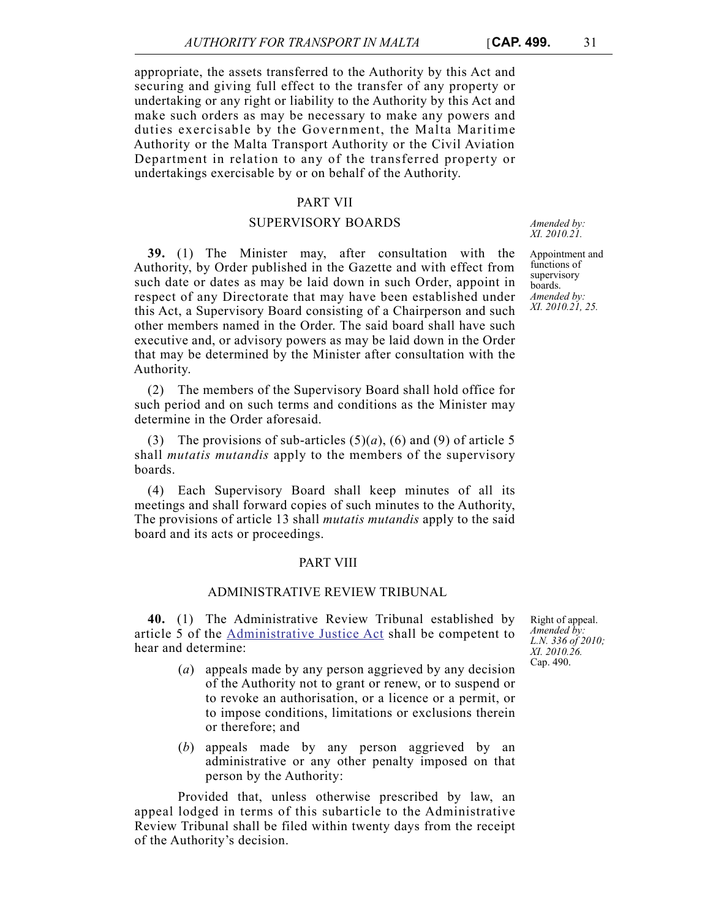appropriate, the assets transferred to the Authority by this Act and securing and giving full effect to the transfer of any property or undertaking or any right or liability to the Authority by this Act and make such orders as may be necessary to make any powers and duties exercisable by the Government, the Malta Maritime Authority or the Malta Transport Authority or the Civil Aviation Department in relation to any of the transferred property or undertakings exercisable by or on behalf of the Authority.

## PART VII

### SUPERVISORY BOARDS

**39.** (1) The Minister may, after consultation with the Authority, by Order published in the Gazette and with effect from such date or dates as may be laid down in such Order, appoint in respect of any Directorate that may have been established under this Act, a Supervisory Board consisting of a Chairperson and such other members named in the Order. The said board shall have such executive and, or advisory powers as may be laid down in the Order that may be determined by the Minister after consultation with the Authority.

(2) The members of the Supervisory Board shall hold office for such period and on such terms and conditions as the Minister may determine in the Order aforesaid.

(3) The provisions of sub-articles  $(5)(a)$ ,  $(6)$  and  $(9)$  of article 5 shall *mutatis mutandis* apply to the members of the supervisory boards.

(4) Each Supervisory Board shall keep minutes of all its meetings and shall forward copies of such minutes to the Authority, The provisions of article 13 shall *mutatis mutandis* apply to the said board and its acts or proceedings.

## PART VIII

## ADMINISTRATIVE REVIEW TRIBUNAL

**40.** (1) The Administrative Review Tribunal established by article 5 of the [Administrative Justice Act](http://www.justiceservices.gov.mt/DownloadDocument.aspx?app=lom&itemid=8956&l=1) shall be competent to hear and determine:

- (*a*) appeals made by any person aggrieved by any decision of the Authority not to grant or renew, or to suspend or to revoke an authorisation, or a licence or a permit, or to impose conditions, limitations or exclusions therein or therefore; and
- (*b*) appeals made by any person aggrieved by an administrative or any other penalty imposed on that person by the Authority:

Provided that, unless otherwise prescribed by law, an appeal lodged in terms of this subarticle to the Administrative Review Tribunal shall be filed within twenty days from the receipt of the Authority's decision.

*Amended by: XI. 2010.21.*

Appointment and functions of supervisory boards. *Amended by: XI. 2010.21, 25.*

Right of appeal. *Amended by: L.N. 336 of 2010; XI. 2010.26.* Cap. 490.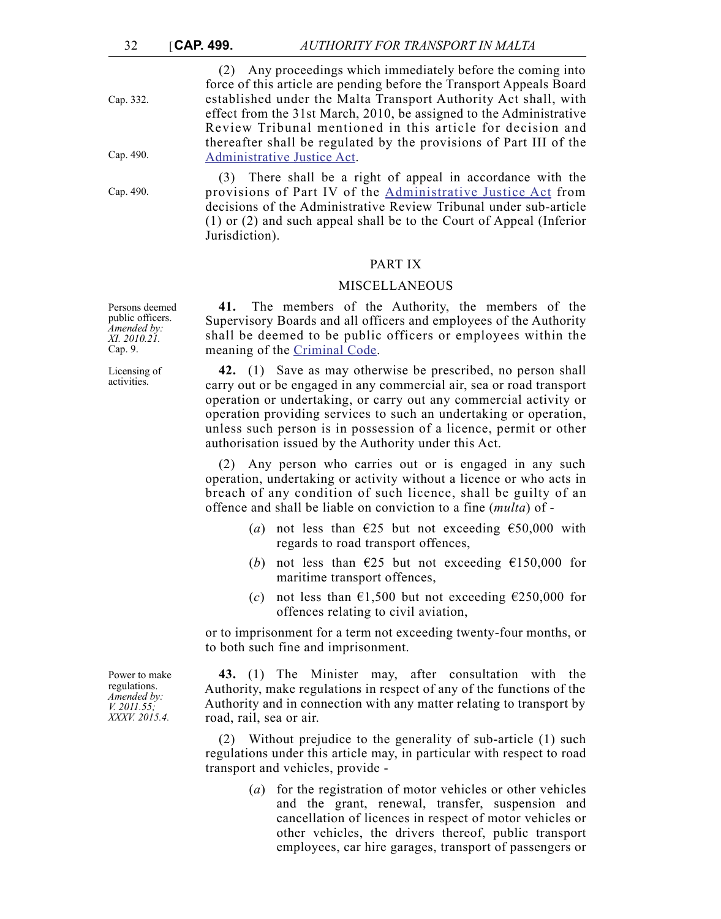Cap. 332.

Cap. 490.

Cap. 490.

(2) Any proceedings which immediately before the coming into force of this article are pending before the Transport Appeals Board established under the Malta Transport Authority Act shall, with effect from the 31st March, 2010, be assigned to the Administrative Review Tribunal mentioned in this article for decision and thereafter shall be regulated by the provisions of Part III of the [Administrative Justice Act.](http://www.justiceservices.gov.mt/DownloadDocument.aspx?app=lom&itemid=8956&l=1)

(3) There shall be a right of appeal in accordance with the provisions of Part IV of the [Administrative Justice Act](http://www.justiceservices.gov.mt/DownloadDocument.aspx?app=lom&itemid=8956&l=1) from decisions of the Administrative Review Tribunal under sub-article (1) or (2) and such appeal shall be to the Court of Appeal (Inferior Jurisdiction).

## PART IX

### MISCELLANEOUS

**41.** The members of the Authority, the members of the Supervisory Boards and all officers and employees of the Authority shall be deemed to be public officers or employees within the meaning of the [Criminal Code.](http://www.justiceservices.gov.mt/DownloadDocument.aspx?app=lom&itemid=8574&l=1)

**42.** (1) Save as may otherwise be prescribed, no person shall carry out or be engaged in any commercial air, sea or road transport operation or undertaking, or carry out any commercial activity or operation providing services to such an undertaking or operation, unless such person is in possession of a licence, permit or other authorisation issued by the Authority under this Act.

(2) Any person who carries out or is engaged in any such operation, undertaking or activity without a licence or who acts in breach of any condition of such licence, shall be guilty of an offence and shall be liable on conviction to a fine (*multa*) of -

- (*a*) not less than  $\epsilon$ 25 but not exceeding  $\epsilon$ 50,000 with regards to road transport offences,
- (*b*) not less than  $E25$  but not exceeding  $E150,000$  for maritime transport offences,
- (*c*) not less than  $\epsilon$ 1,500 but not exceeding  $\epsilon$ 250,000 for offences relating to civil aviation,

or to imprisonment for a term not exceeding twenty-four months, or to both such fine and imprisonment.

**43.** (1) The Minister may, after consultation with the Authority, make regulations in respect of any of the functions of the Authority and in connection with any matter relating to transport by road, rail, sea or air.

(2) Without prejudice to the generality of sub-article (1) such regulations under this article may, in particular with respect to road transport and vehicles, provide -

> (*a*) for the registration of motor vehicles or other vehicles and the grant, renewal, transfer, suspension and cancellation of licences in respect of motor vehicles or other vehicles, the drivers thereof, public transport employees, car hire garages, transport of passengers or

Persons deemed public officers. *Amended by: XI. 2010.21.* Cap. 9.

Licensing of activities.

Power to make regulations. *Amended by: V. 2011.55; XXXV. 2015.4.*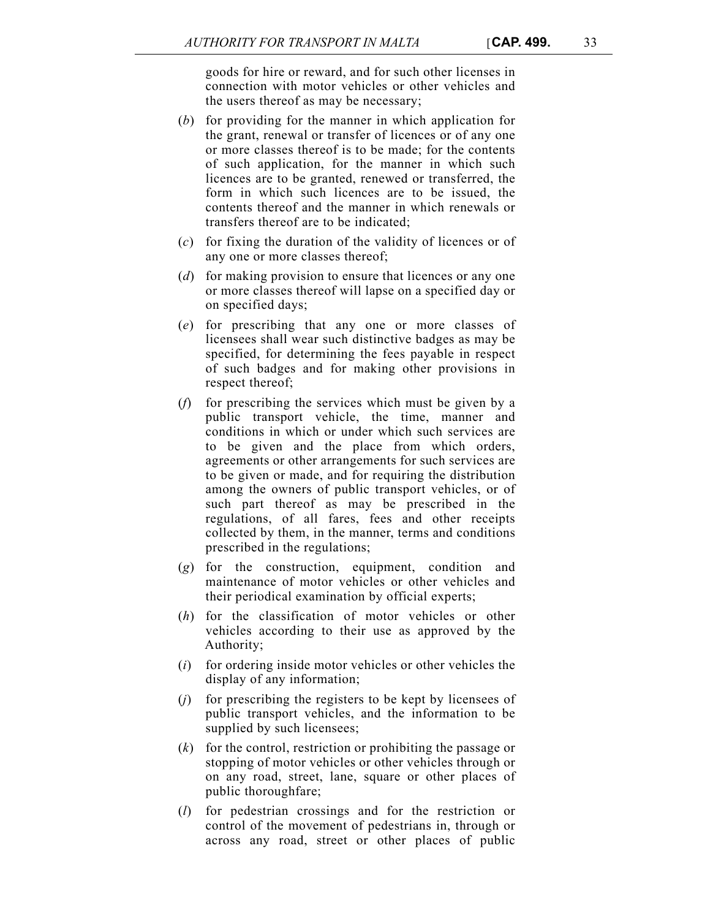goods for hire or reward, and for such other licenses in connection with motor vehicles or other vehicles and the users thereof as may be necessary;

- (*b*) for providing for the manner in which application for the grant, renewal or transfer of licences or of any one or more classes thereof is to be made; for the contents of such application, for the manner in which such licences are to be granted, renewed or transferred, the form in which such licences are to be issued, the contents thereof and the manner in which renewals or transfers thereof are to be indicated;
- (*c*) for fixing the duration of the validity of licences or of any one or more classes thereof;
- (*d*) for making provision to ensure that licences or any one or more classes thereof will lapse on a specified day or on specified days;
- (*e*) for prescribing that any one or more classes of licensees shall wear such distinctive badges as may be specified, for determining the fees payable in respect of such badges and for making other provisions in respect thereof;
- (*f*) for prescribing the services which must be given by a public transport vehicle, the time, manner and conditions in which or under which such services are to be given and the place from which orders, agreements or other arrangements for such services are to be given or made, and for requiring the distribution among the owners of public transport vehicles, or of such part thereof as may be prescribed in the regulations, of all fares, fees and other receipts collected by them, in the manner, terms and conditions prescribed in the regulations;
- (*g*) for the construction, equipment, condition and maintenance of motor vehicles or other vehicles and their periodical examination by official experts;
- (*h*) for the classification of motor vehicles or other vehicles according to their use as approved by the Authority;
- (*i*) for ordering inside motor vehicles or other vehicles the display of any information;
- (*j*) for prescribing the registers to be kept by licensees of public transport vehicles, and the information to be supplied by such licensees;
- (*k*) for the control, restriction or prohibiting the passage or stopping of motor vehicles or other vehicles through or on any road, street, lane, square or other places of public thoroughfare;
- (*l*) for pedestrian crossings and for the restriction or control of the movement of pedestrians in, through or across any road, street or other places of public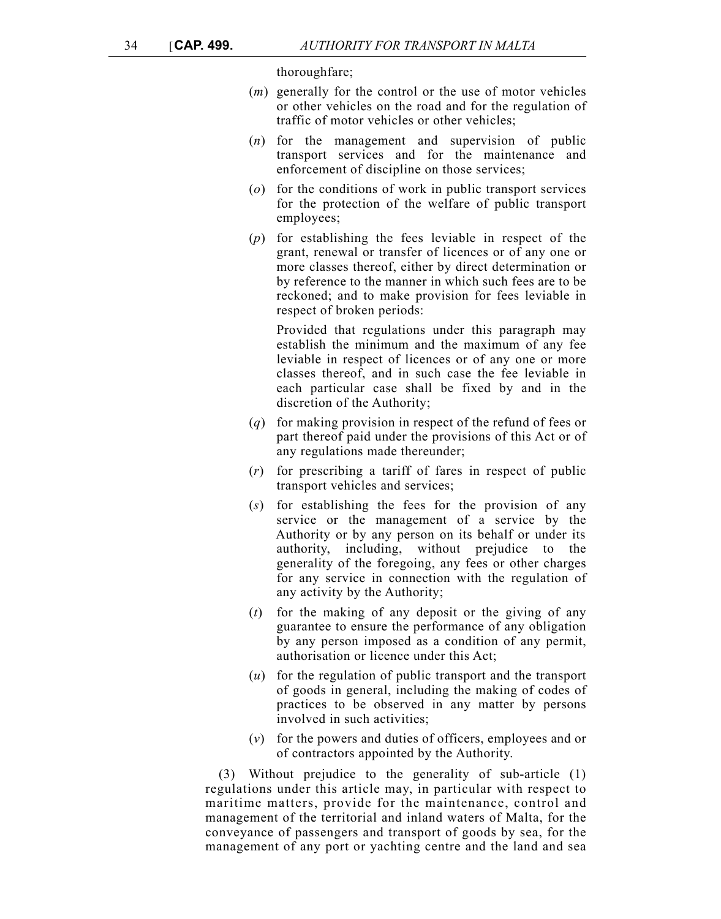thoroughfare;

- (*m*) generally for the control or the use of motor vehicles or other vehicles on the road and for the regulation of traffic of motor vehicles or other vehicles;
- (*n*) for the management and supervision of public transport services and for the maintenance and enforcement of discipline on those services;
- (*o*) for the conditions of work in public transport services for the protection of the welfare of public transport employees;
- (*p*) for establishing the fees leviable in respect of the grant, renewal or transfer of licences or of any one or more classes thereof, either by direct determination or by reference to the manner in which such fees are to be reckoned; and to make provision for fees leviable in respect of broken periods:

Provided that regulations under this paragraph may establish the minimum and the maximum of any fee leviable in respect of licences or of any one or more classes thereof, and in such case the fee leviable in each particular case shall be fixed by and in the discretion of the Authority;

- (*q*) for making provision in respect of the refund of fees or part thereof paid under the provisions of this Act or of any regulations made thereunder;
- (*r*) for prescribing a tariff of fares in respect of public transport vehicles and services;
- (*s*) for establishing the fees for the provision of any service or the management of a service by the Authority or by any person on its behalf or under its authority, including, without prejudice to the generality of the foregoing, any fees or other charges for any service in connection with the regulation of any activity by the Authority;
- (*t*) for the making of any deposit or the giving of any guarantee to ensure the performance of any obligation by any person imposed as a condition of any permit, authorisation or licence under this Act;
- (*u*) for the regulation of public transport and the transport of goods in general, including the making of codes of practices to be observed in any matter by persons involved in such activities;
- (*v*) for the powers and duties of officers, employees and or of contractors appointed by the Authority.

(3) Without prejudice to the generality of sub-article (1) regulations under this article may, in particular with respect to maritime matters, provide for the maintenance, control and management of the territorial and inland waters of Malta, for the conveyance of passengers and transport of goods by sea, for the management of any port or yachting centre and the land and sea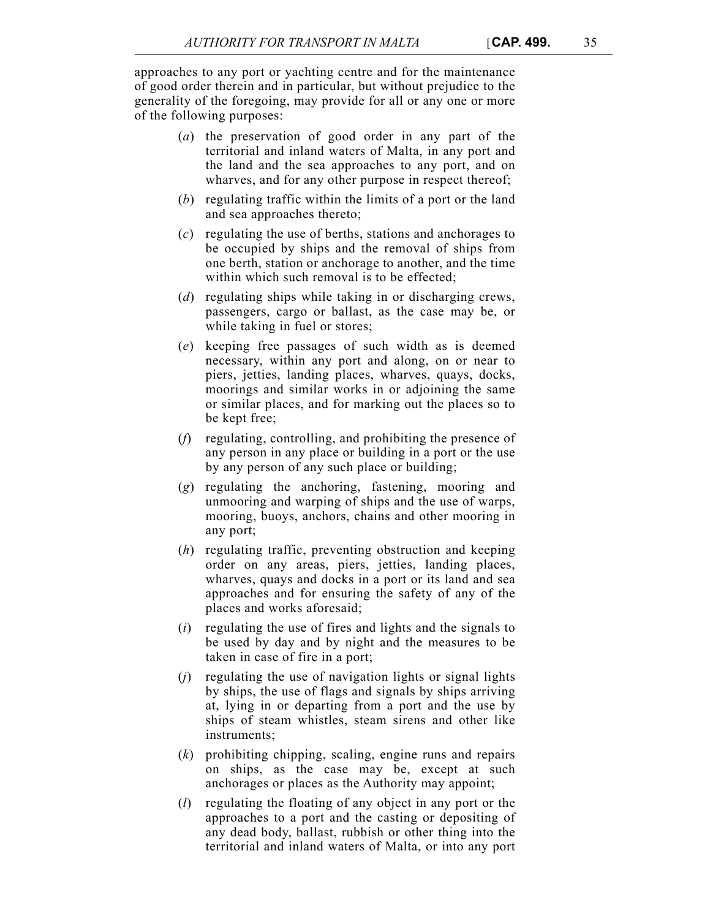approaches to any port or yachting centre and for the maintenance of good order therein and in particular, but without prejudice to the generality of the foregoing, may provide for all or any one or more of the following purposes:

- (*a*) the preservation of good order in any part of the territorial and inland waters of Malta, in any port and the land and the sea approaches to any port, and on wharves, and for any other purpose in respect thereof;
- (*b*) regulating traffic within the limits of a port or the land and sea approaches thereto;
- (*c*) regulating the use of berths, stations and anchorages to be occupied by ships and the removal of ships from one berth, station or anchorage to another, and the time within which such removal is to be effected:
- (*d*) regulating ships while taking in or discharging crews, passengers, cargo or ballast, as the case may be, or while taking in fuel or stores;
- (*e*) keeping free passages of such width as is deemed necessary, within any port and along, on or near to piers, jetties, landing places, wharves, quays, docks, moorings and similar works in or adjoining the same or similar places, and for marking out the places so to be kept free;
- (*f*) regulating, controlling, and prohibiting the presence of any person in any place or building in a port or the use by any person of any such place or building;
- (*g*) regulating the anchoring, fastening, mooring and unmooring and warping of ships and the use of warps, mooring, buoys, anchors, chains and other mooring in any port;
- (*h*) regulating traffic, preventing obstruction and keeping order on any areas, piers, jetties, landing places, wharves, quays and docks in a port or its land and sea approaches and for ensuring the safety of any of the places and works aforesaid;
- (*i*) regulating the use of fires and lights and the signals to be used by day and by night and the measures to be taken in case of fire in a port;
- (*j*) regulating the use of navigation lights or signal lights by ships, the use of flags and signals by ships arriving at, lying in or departing from a port and the use by ships of steam whistles, steam sirens and other like instruments;
- (*k*) prohibiting chipping, scaling, engine runs and repairs on ships, as the case may be, except at such anchorages or places as the Authority may appoint;
- (*l*) regulating the floating of any object in any port or the approaches to a port and the casting or depositing of any dead body, ballast, rubbish or other thing into the territorial and inland waters of Malta, or into any port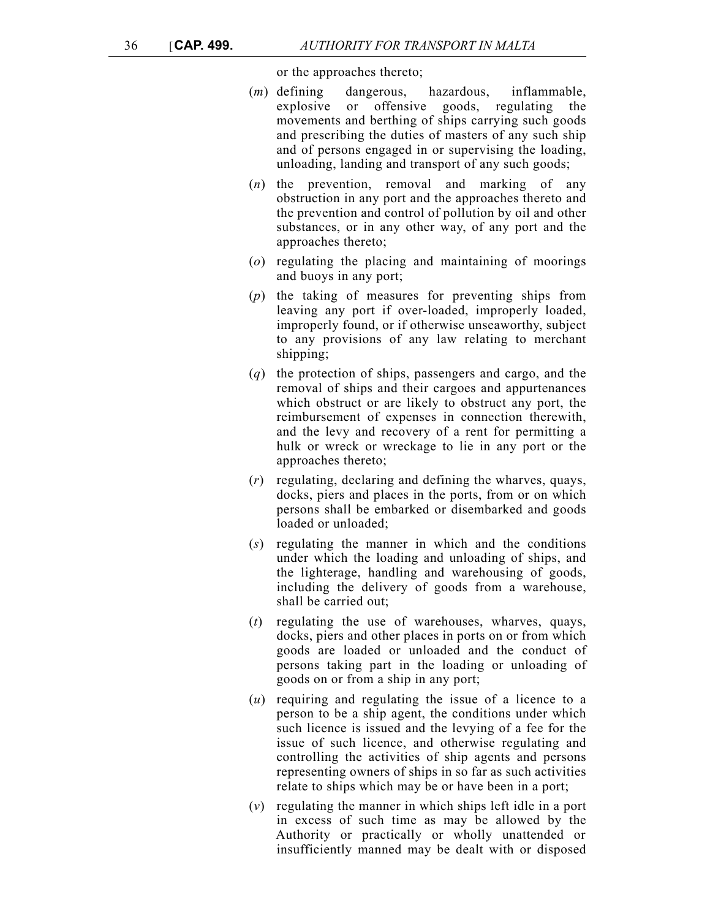or the approaches thereto;

- (*m*) defining dangerous, hazardous, inflammable, explosive or offensive goods, regulating the movements and berthing of ships carrying such goods and prescribing the duties of masters of any such ship and of persons engaged in or supervising the loading, unloading, landing and transport of any such goods;
- (*n*) the prevention, removal and marking of any obstruction in any port and the approaches thereto and the prevention and control of pollution by oil and other substances, or in any other way, of any port and the approaches thereto;
- (*o*) regulating the placing and maintaining of moorings and buoys in any port;
- (*p*) the taking of measures for preventing ships from leaving any port if over-loaded, improperly loaded, improperly found, or if otherwise unseaworthy, subject to any provisions of any law relating to merchant shipping;
- (*q*) the protection of ships, passengers and cargo, and the removal of ships and their cargoes and appurtenances which obstruct or are likely to obstruct any port, the reimbursement of expenses in connection therewith, and the levy and recovery of a rent for permitting a hulk or wreck or wreckage to lie in any port or the approaches thereto;
- (*r*) regulating, declaring and defining the wharves, quays, docks, piers and places in the ports, from or on which persons shall be embarked or disembarked and goods loaded or unloaded;
- (*s*) regulating the manner in which and the conditions under which the loading and unloading of ships, and the lighterage, handling and warehousing of goods, including the delivery of goods from a warehouse, shall be carried out;
- (*t*) regulating the use of warehouses, wharves, quays, docks, piers and other places in ports on or from which goods are loaded or unloaded and the conduct of persons taking part in the loading or unloading of goods on or from a ship in any port;
- (*u*) requiring and regulating the issue of a licence to a person to be a ship agent, the conditions under which such licence is issued and the levying of a fee for the issue of such licence, and otherwise regulating and controlling the activities of ship agents and persons representing owners of ships in so far as such activities relate to ships which may be or have been in a port;
- (*v*) regulating the manner in which ships left idle in a port in excess of such time as may be allowed by the Authority or practically or wholly unattended or insufficiently manned may be dealt with or disposed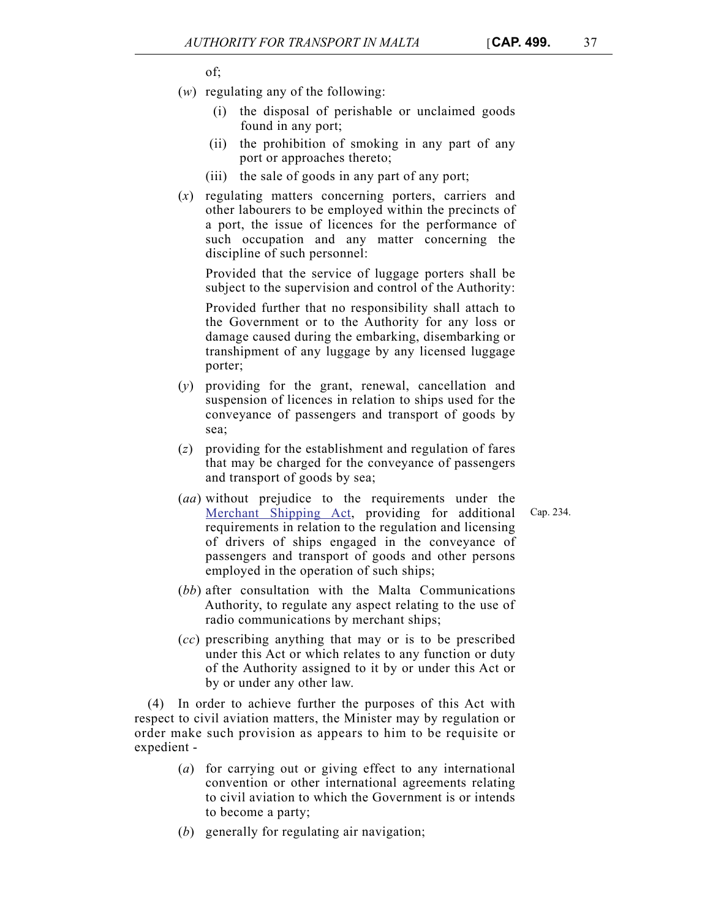of;

- (*w*) regulating any of the following:
	- (i) the disposal of perishable or unclaimed goods found in any port;
	- (ii) the prohibition of smoking in any part of any port or approaches thereto;
	- (iii) the sale of goods in any part of any port;
- (*x*) regulating matters concerning porters, carriers and other labourers to be employed within the precincts of a port, the issue of licences for the performance of such occupation and any matter concerning the discipline of such personnel:

Provided that the service of luggage porters shall be subject to the supervision and control of the Authority:

Provided further that no responsibility shall attach to the Government or to the Authority for any loss or damage caused during the embarking, disembarking or transhipment of any luggage by any licensed luggage porter;

- (*y*) providing for the grant, renewal, cancellation and suspension of licences in relation to ships used for the conveyance of passengers and transport of goods by sea;
- (*z*) providing for the establishment and regulation of fares that may be charged for the conveyance of passengers and transport of goods by sea;
- (*aa*) without prejudice to the requirements under the [Merchant Shipping Act,](http://www.justiceservices.gov.mt/DownloadDocument.aspx?app=lom&itemid=8734&l=1) providing for additional requirements in relation to the regulation and licensing of drivers of ships engaged in the conveyance of passengers and transport of goods and other persons employed in the operation of such ships;
- (*bb*) after consultation with the Malta Communications Authority, to regulate any aspect relating to the use of radio communications by merchant ships;
- (*cc*) prescribing anything that may or is to be prescribed under this Act or which relates to any function or duty of the Authority assigned to it by or under this Act or by or under any other law.

(4) In order to achieve further the purposes of this Act with respect to civil aviation matters, the Minister may by regulation or order make such provision as appears to him to be requisite or expedient -

- (*a*) for carrying out or giving effect to any international convention or other international agreements relating to civil aviation to which the Government is or intends to become a party;
- (*b*) generally for regulating air navigation;

Cap. 234.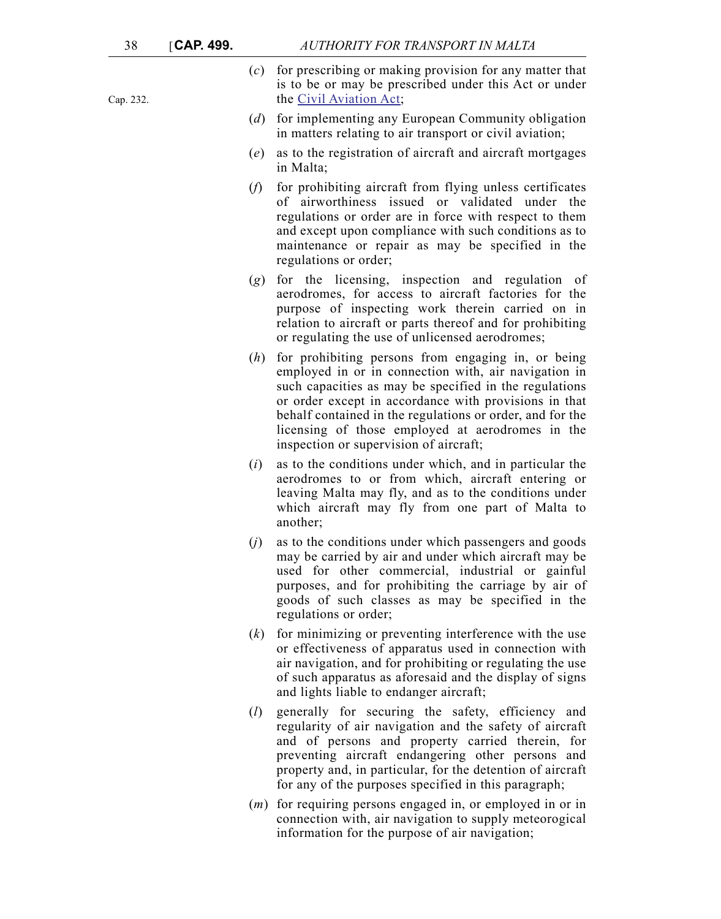Cap. 232.

- (*c*) for prescribing or making provision for any matter that is to be or may be prescribed under this Act or under the [Civil Aviation Act;](http://www.justiceservices.gov.mt/DownloadDocument.aspx?app=lom&itemid=8732&l=1)
- (*d*) for implementing any European Community obligation in matters relating to air transport or civil aviation;
- (*e*) as to the registration of aircraft and aircraft mortgages in Malta;
- (*f*) for prohibiting aircraft from flying unless certificates of airworthiness issued or validated under the regulations or order are in force with respect to them and except upon compliance with such conditions as to maintenance or repair as may be specified in the regulations or order;
- (*g*) for the licensing, inspection and regulation of aerodromes, for access to aircraft factories for the purpose of inspecting work therein carried on in relation to aircraft or parts thereof and for prohibiting or regulating the use of unlicensed aerodromes;
- (*h*) for prohibiting persons from engaging in, or being employed in or in connection with, air navigation in such capacities as may be specified in the regulations or order except in accordance with provisions in that behalf contained in the regulations or order, and for the licensing of those employed at aerodromes in the inspection or supervision of aircraft;
- (*i*) as to the conditions under which, and in particular the aerodromes to or from which, aircraft entering or leaving Malta may fly, and as to the conditions under which aircraft may fly from one part of Malta to another;
- (*j*) as to the conditions under which passengers and goods may be carried by air and under which aircraft may be used for other commercial, industrial or gainful purposes, and for prohibiting the carriage by air of goods of such classes as may be specified in the regulations or order;
- (*k*) for minimizing or preventing interference with the use or effectiveness of apparatus used in connection with air navigation, and for prohibiting or regulating the use of such apparatus as aforesaid and the display of signs and lights liable to endanger aircraft;
- (*l*) generally for securing the safety, efficiency and regularity of air navigation and the safety of aircraft and of persons and property carried therein, for preventing aircraft endangering other persons and property and, in particular, for the detention of aircraft for any of the purposes specified in this paragraph;
- (*m*) for requiring persons engaged in, or employed in or in connection with, air navigation to supply meteorogical information for the purpose of air navigation;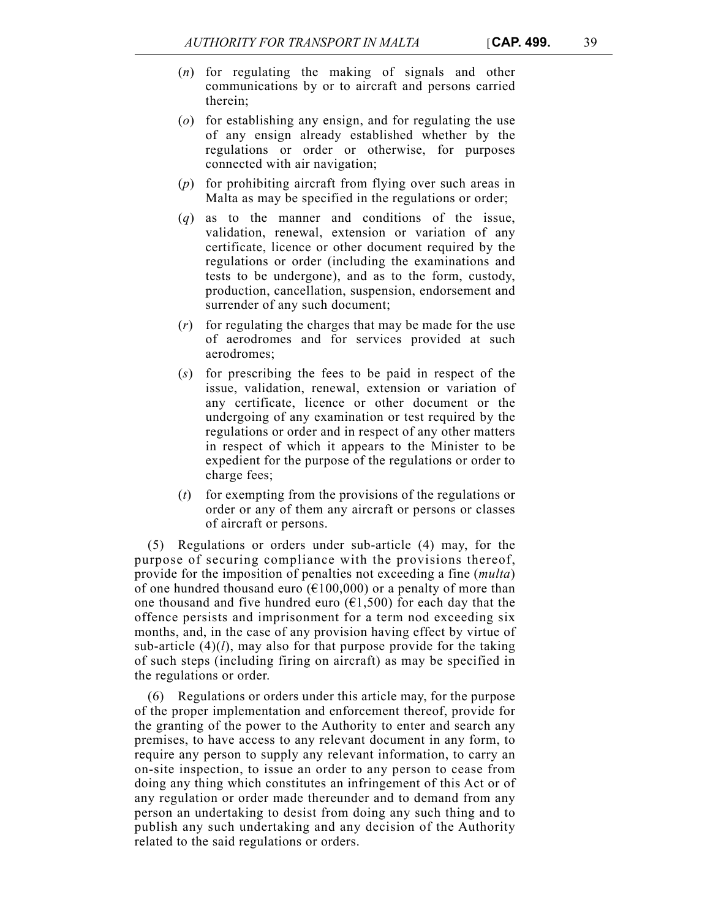- (*n*) for regulating the making of signals and other communications by or to aircraft and persons carried therein;
- (*o*) for establishing any ensign, and for regulating the use of any ensign already established whether by the regulations or order or otherwise, for purposes connected with air navigation;
- (*p*) for prohibiting aircraft from flying over such areas in Malta as may be specified in the regulations or order;
- (*q*) as to the manner and conditions of the issue, validation, renewal, extension or variation of any certificate, licence or other document required by the regulations or order (including the examinations and tests to be undergone), and as to the form, custody, production, cancellation, suspension, endorsement and surrender of any such document;
- (*r*) for regulating the charges that may be made for the use of aerodromes and for services provided at such aerodromes;
- (*s*) for prescribing the fees to be paid in respect of the issue, validation, renewal, extension or variation of any certificate, licence or other document or the undergoing of any examination or test required by the regulations or order and in respect of any other matters in respect of which it appears to the Minister to be expedient for the purpose of the regulations or order to charge fees;
- (*t*) for exempting from the provisions of the regulations or order or any of them any aircraft or persons or classes of aircraft or persons.

(5) Regulations or orders under sub-article (4) may, for the purpose of securing compliance with the provisions thereof, provide for the imposition of penalties not exceeding a fine (*multa*) of one hundred thousand euro ( $\epsilon$ 100,000) or a penalty of more than one thousand and five hundred euro ( $\epsilon$ 1,500) for each day that the offence persists and imprisonment for a term nod exceeding six months, and, in the case of any provision having effect by virtue of sub-article (4)(*l*), may also for that purpose provide for the taking of such steps (including firing on aircraft) as may be specified in the regulations or order.

(6) Regulations or orders under this article may, for the purpose of the proper implementation and enforcement thereof, provide for the granting of the power to the Authority to enter and search any premises, to have access to any relevant document in any form, to require any person to supply any relevant information, to carry an on-site inspection, to issue an order to any person to cease from doing any thing which constitutes an infringement of this Act or of any regulation or order made thereunder and to demand from any person an undertaking to desist from doing any such thing and to publish any such undertaking and any decision of the Authority related to the said regulations or orders.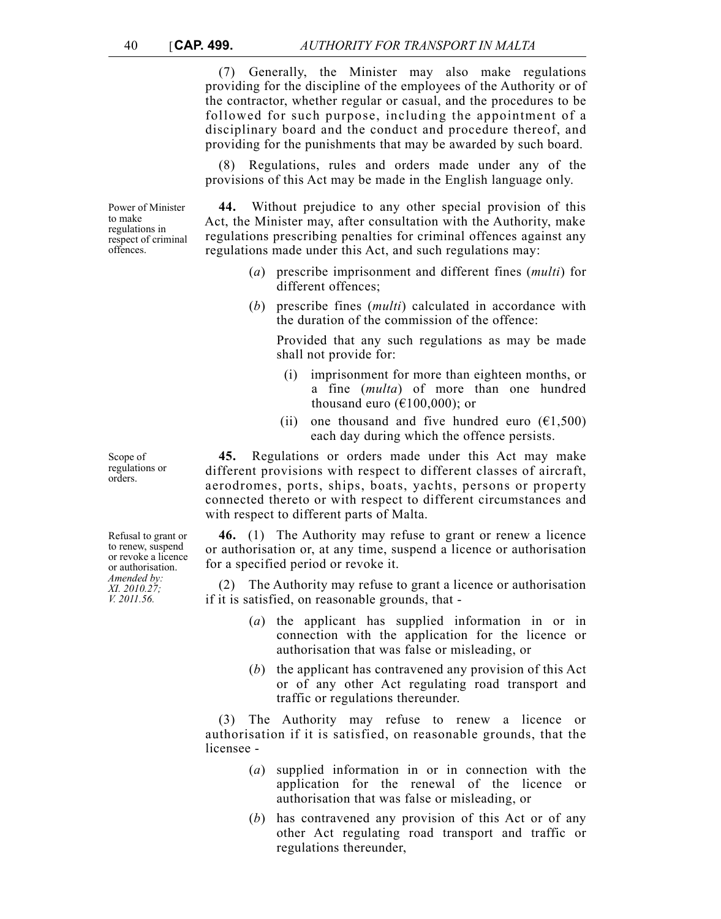(7) Generally, the Minister may also make regulations providing for the discipline of the employees of the Authority or of the contractor, whether regular or casual, and the procedures to be followed for such purpose, including the appointment of a disciplinary board and the conduct and procedure thereof, and providing for the punishments that may be awarded by such board.

(8) Regulations, rules and orders made under any of the provisions of this Act may be made in the English language only.

Power of Minister to make regulations in respect of criminal offences.

**44.** Without prejudice to any other special provision of this Act, the Minister may, after consultation with the Authority, make regulations prescribing penalties for criminal offences against any regulations made under this Act, and such regulations may:

- (*a*) prescribe imprisonment and different fines (*multi*) for different offences;
- (*b*) prescribe fines (*multi*) calculated in accordance with the duration of the commission of the offence:

Provided that any such regulations as may be made shall not provide for:

- (i) imprisonment for more than eighteen months, or a fine (*multa*) of more than one hundred thousand euro ( $\epsilon$ 100,000); or
- (ii) one thousand and five hundred euro  $(61,500)$ each day during which the offence persists.

**45.** Regulations or orders made under this Act may make different provisions with respect to different classes of aircraft, aerodromes, ports, ships, boats, yachts, persons or property connected thereto or with respect to different circumstances and with respect to different parts of Malta.

**46.** (1) The Authority may refuse to grant or renew a licence or authorisation or, at any time, suspend a licence or authorisation for a specified period or revoke it.

(2) The Authority may refuse to grant a licence or authorisation if it is satisfied, on reasonable grounds, that -

- (*a*) the applicant has supplied information in or in connection with the application for the licence or authorisation that was false or misleading, or
- (*b*) the applicant has contravened any provision of this Act or of any other Act regulating road transport and traffic or regulations thereunder.

(3) The Authority may refuse to renew a licence or authorisation if it is satisfied, on reasonable grounds, that the licensee -

- (*a*) supplied information in or in connection with the application for the renewal of the licence or authorisation that was false or misleading, or
- (*b*) has contravened any provision of this Act or of any other Act regulating road transport and traffic or regulations thereunder,

Refusal to grant or to renew, suspend or revoke a licence or authorisation. *Amended by:*

*XI. 2010.27; V. 2011.56.*

Scope of regulations or orders.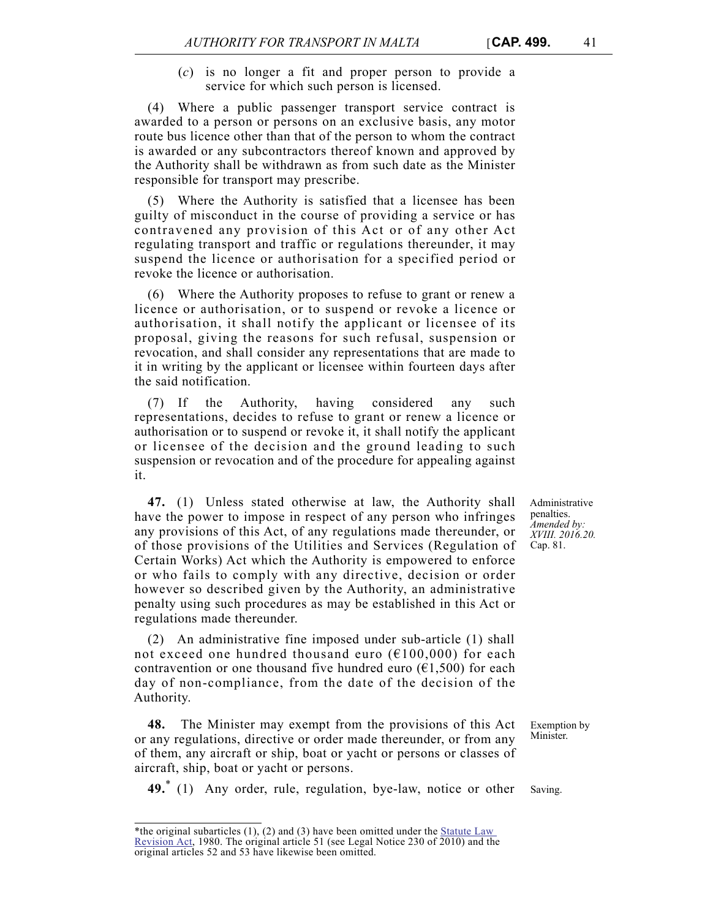(*c*) is no longer a fit and proper person to provide a service for which such person is licensed.

(4) Where a public passenger transport service contract is awarded to a person or persons on an exclusive basis, any motor route bus licence other than that of the person to whom the contract is awarded or any subcontractors thereof known and approved by the Authority shall be withdrawn as from such date as the Minister responsible for transport may prescribe.

(5) Where the Authority is satisfied that a licensee has been guilty of misconduct in the course of providing a service or has contravened any provision of this Act or of any other Act regulating transport and traffic or regulations thereunder, it may suspend the licence or authorisation for a specified period or revoke the licence or authorisation.

(6) Where the Authority proposes to refuse to grant or renew a licence or authorisation, or to suspend or revoke a licence or authorisation, it shall notify the applicant or licensee of its proposal, giving the reasons for such refusal, suspension or revocation, and shall consider any representations that are made to it in writing by the applicant or licensee within fourteen days after the said notification.

(7) If the Authority, having considered any such representations, decides to refuse to grant or renew a licence or authorisation or to suspend or revoke it, it shall notify the applicant or licensee of the decision and the ground leading to such suspension or revocation and of the procedure for appealing against it.

**47.** (1) Unless stated otherwise at law, the Authority shall have the power to impose in respect of any person who infringes any provisions of this Act, of any regulations made thereunder, or of those provisions of the Utilities and Services (Regulation of Certain Works) Act which the Authority is empowered to enforce or who fails to comply with any directive, decision or order however so described given by the Authority, an administrative penalty using such procedures as may be established in this Act or regulations made thereunder.

(2) An administrative fine imposed under sub-article (1) shall not exceed one hundred thousand euro ( $E100,000$ ) for each contravention or one thousand five hundred euro  $(61,500)$  for each day of non-compliance, from the date of the decision of the Authority.

**48.** The Minister may exempt from the provisions of this Act or any regulations, directive or order made thereunder, or from any of them, any aircraft or ship, boat or yacht or persons or classes of aircraft, ship, boat or yacht or persons.

**49.** (1) Any order, rule, regulation, bye-law, notice or other Saving.

Administrative penalties. *Amended by: XVIII. 2016.20.* Cap. 81.

Exemption by Minister.

<sup>\*</sup>the original subarticles  $(1)$ ,  $(2)$  and  $(3)$  have been omitted under the **Statute Law** [Revision Act,](http://www.justiceservices.gov.mt/DownloadDocument.aspx?app=lom&itemid=8565&l=1) 1980. The original article 51 (see Legal Notice 230 of 2010) and the original articles 52 and 53 have likewise been omitted.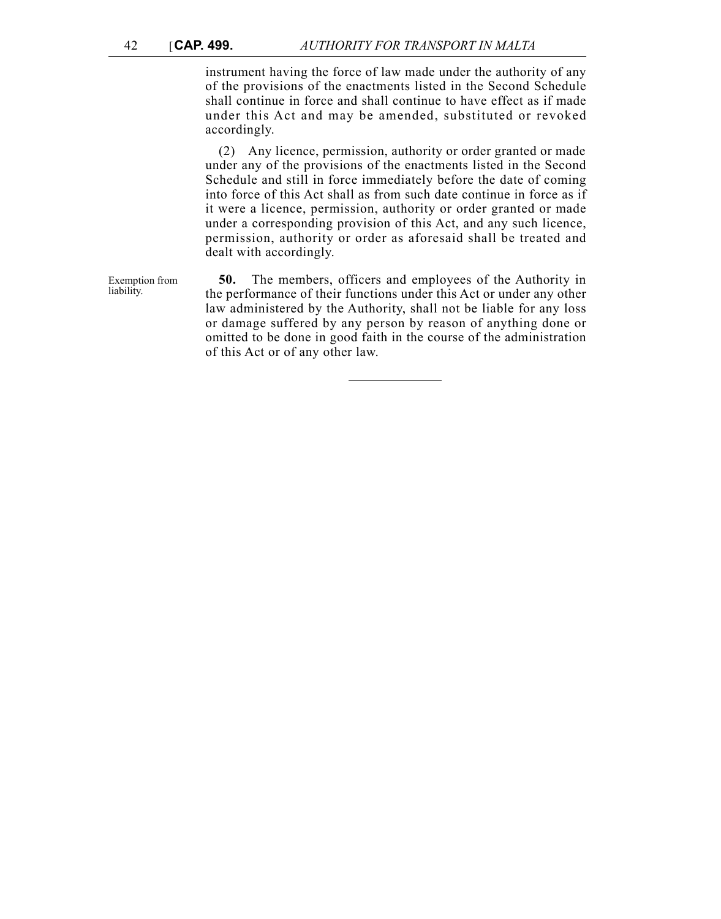instrument having the force of law made under the authority of any of the provisions of the enactments listed in the Second Schedule shall continue in force and shall continue to have effect as if made under this Act and may be amended, substituted or revoked accordingly.

(2) Any licence, permission, authority or order granted or made under any of the provisions of the enactments listed in the Second Schedule and still in force immediately before the date of coming into force of this Act shall as from such date continue in force as if it were a licence, permission, authority or order granted or made under a corresponding provision of this Act, and any such licence, permission, authority or order as aforesaid shall be treated and dealt with accordingly.

Exemption from liability. **50.** The members, officers and employees of the Authority in the performance of their functions under this Act or under any other law administered by the Authority, shall not be liable for any loss or damage suffered by any person by reason of anything done or omitted to be done in good faith in the course of the administration of this Act or of any other law.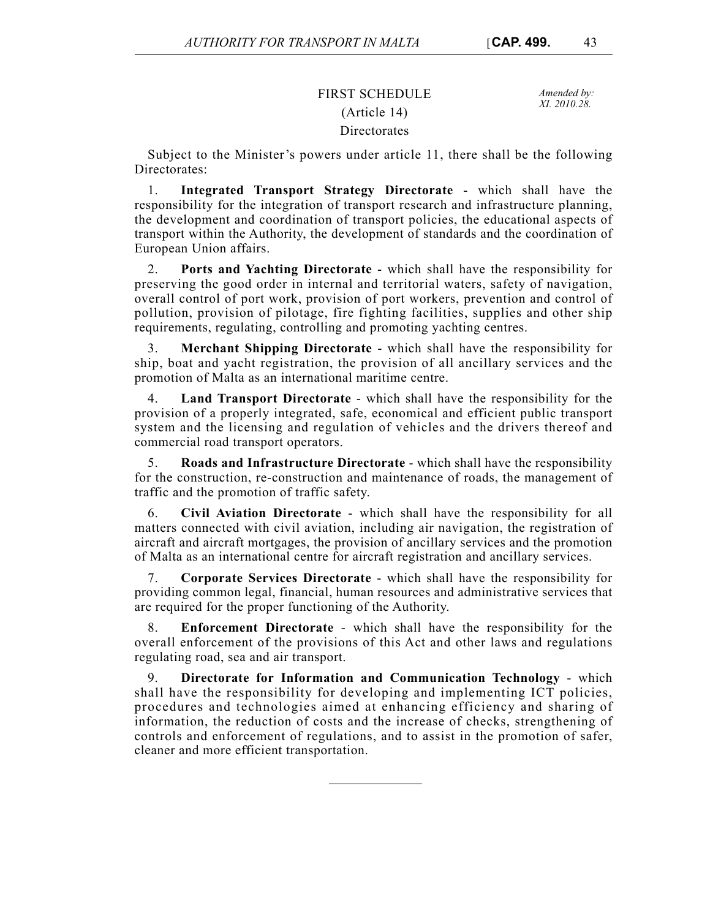# FIRST SCHEDULE *Amended by:* (Article 14) Directorates

*XI. 2010.28.*

Subject to the Minister's powers under article 11, there shall be the following Directorates:

1. **Integrated Transport Strategy Directorate** - which shall have the responsibility for the integration of transport research and infrastructure planning, the development and coordination of transport policies, the educational aspects of transport within the Authority, the development of standards and the coordination of European Union affairs.

2. **Ports and Yachting Directorate** - which shall have the responsibility for preserving the good order in internal and territorial waters, safety of navigation, overall control of port work, provision of port workers, prevention and control of pollution, provision of pilotage, fire fighting facilities, supplies and other ship requirements, regulating, controlling and promoting yachting centres.

3. **Merchant Shipping Directorate** - which shall have the responsibility for ship, boat and yacht registration, the provision of all ancillary services and the promotion of Malta as an international maritime centre.

4. **Land Transport Directorate** - which shall have the responsibility for the provision of a properly integrated, safe, economical and efficient public transport system and the licensing and regulation of vehicles and the drivers thereof and commercial road transport operators.

5. **Roads and Infrastructure Directorate** - which shall have the responsibility for the construction, re-construction and maintenance of roads, the management of traffic and the promotion of traffic safety.

6. **Civil Aviation Directorate** - which shall have the responsibility for all matters connected with civil aviation, including air navigation, the registration of aircraft and aircraft mortgages, the provision of ancillary services and the promotion of Malta as an international centre for aircraft registration and ancillary services.

7. **Corporate Services Directorate** - which shall have the responsibility for providing common legal, financial, human resources and administrative services that are required for the proper functioning of the Authority.

8. **Enforcement Directorate** - which shall have the responsibility for the overall enforcement of the provisions of this Act and other laws and regulations regulating road, sea and air transport.

9. **Directorate for Information and Communication Technology** - which shall have the responsibility for developing and implementing ICT policies, procedures and technologies aimed at enhancing efficiency and sharing of information, the reduction of costs and the increase of checks, strengthening of controls and enforcement of regulations, and to assist in the promotion of safer, cleaner and more efficient transportation.